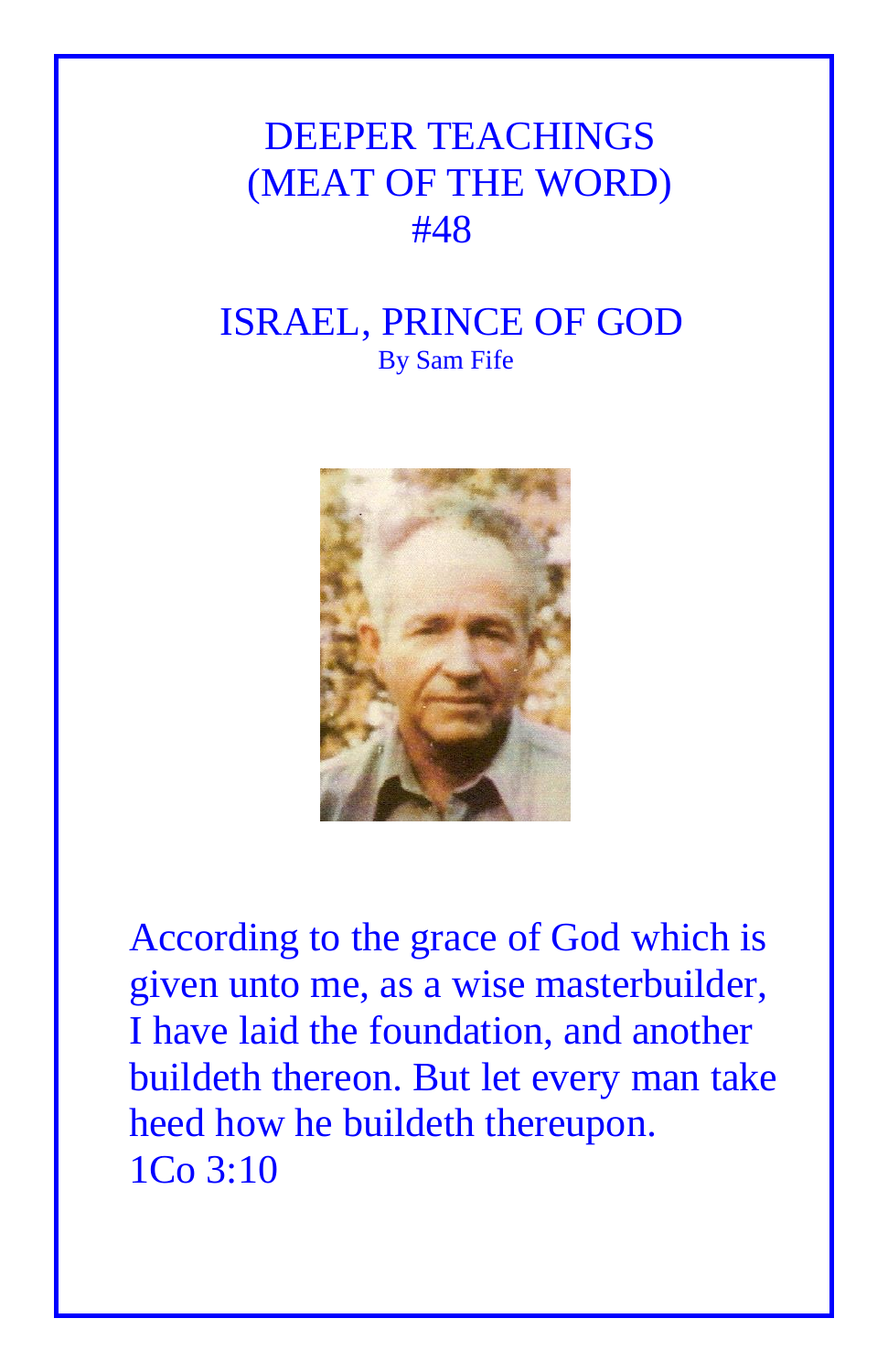## DEEPER TEACHINGS (MEAT OF THE WORD) #48

## ISRAEL, PRINCE OF GOD By Sam Fife



According to the grace of God which is given unto me, as a wise masterbuilder, I have laid the foundation, and another buildeth thereon. But let every man take heed how he buildeth thereupon. 1Co 3:10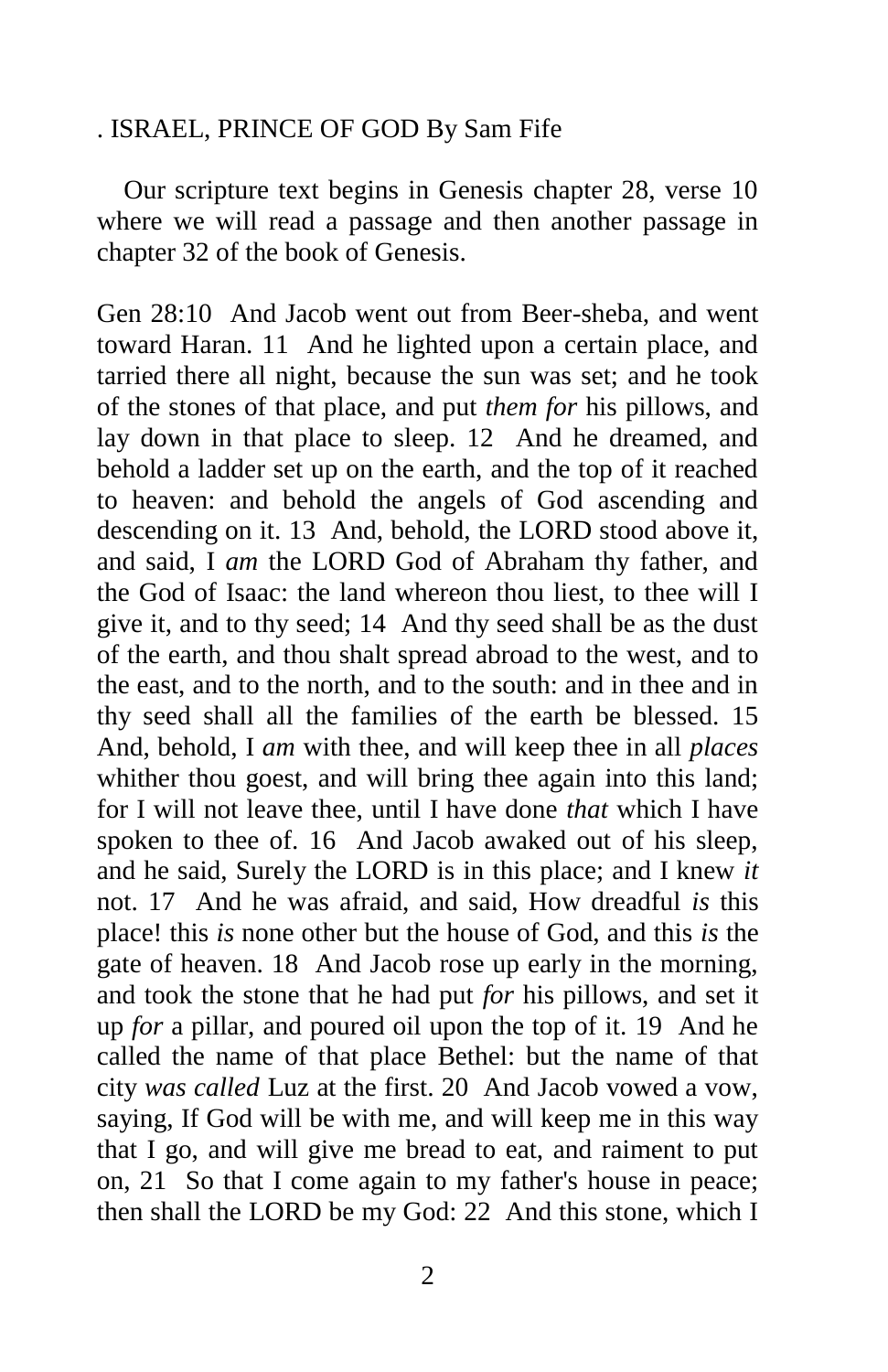## . ISRAEL, PRINCE OF GOD By Sam Fife

 Our scripture text begins in Genesis chapter 28, verse 10 where we will read a passage and then another passage in chapter 32 of the book of Genesis.

Gen 28:10 And Jacob went out from Beer-sheba, and went toward Haran. 11 And he lighted upon a certain place, and tarried there all night, because the sun was set; and he took of the stones of that place, and put *them for* his pillows, and lay down in that place to sleep. 12 And he dreamed, and behold a ladder set up on the earth, and the top of it reached to heaven: and behold the angels of God ascending and descending on it. 13 And, behold, the LORD stood above it, and said, I *am* the LORD God of Abraham thy father, and the God of Isaac: the land whereon thou liest, to thee will I give it, and to thy seed; 14 And thy seed shall be as the dust of the earth, and thou shalt spread abroad to the west, and to the east, and to the north, and to the south: and in thee and in thy seed shall all the families of the earth be blessed. 15 And, behold, I *am* with thee, and will keep thee in all *places* whither thou goest, and will bring thee again into this land; for I will not leave thee, until I have done *that* which I have spoken to thee of. 16 And Jacob awaked out of his sleep, and he said, Surely the LORD is in this place; and I knew *it* not. 17 And he was afraid, and said, How dreadful *is* this place! this *is* none other but the house of God, and this *is* the gate of heaven. 18 And Jacob rose up early in the morning, and took the stone that he had put *for* his pillows, and set it up *for* a pillar, and poured oil upon the top of it. 19 And he called the name of that place Bethel: but the name of that city *was called* Luz at the first. 20 And Jacob vowed a vow, saying, If God will be with me, and will keep me in this way that I go, and will give me bread to eat, and raiment to put on, 21 So that I come again to my father's house in peace; then shall the LORD be my God: 22 And this stone, which I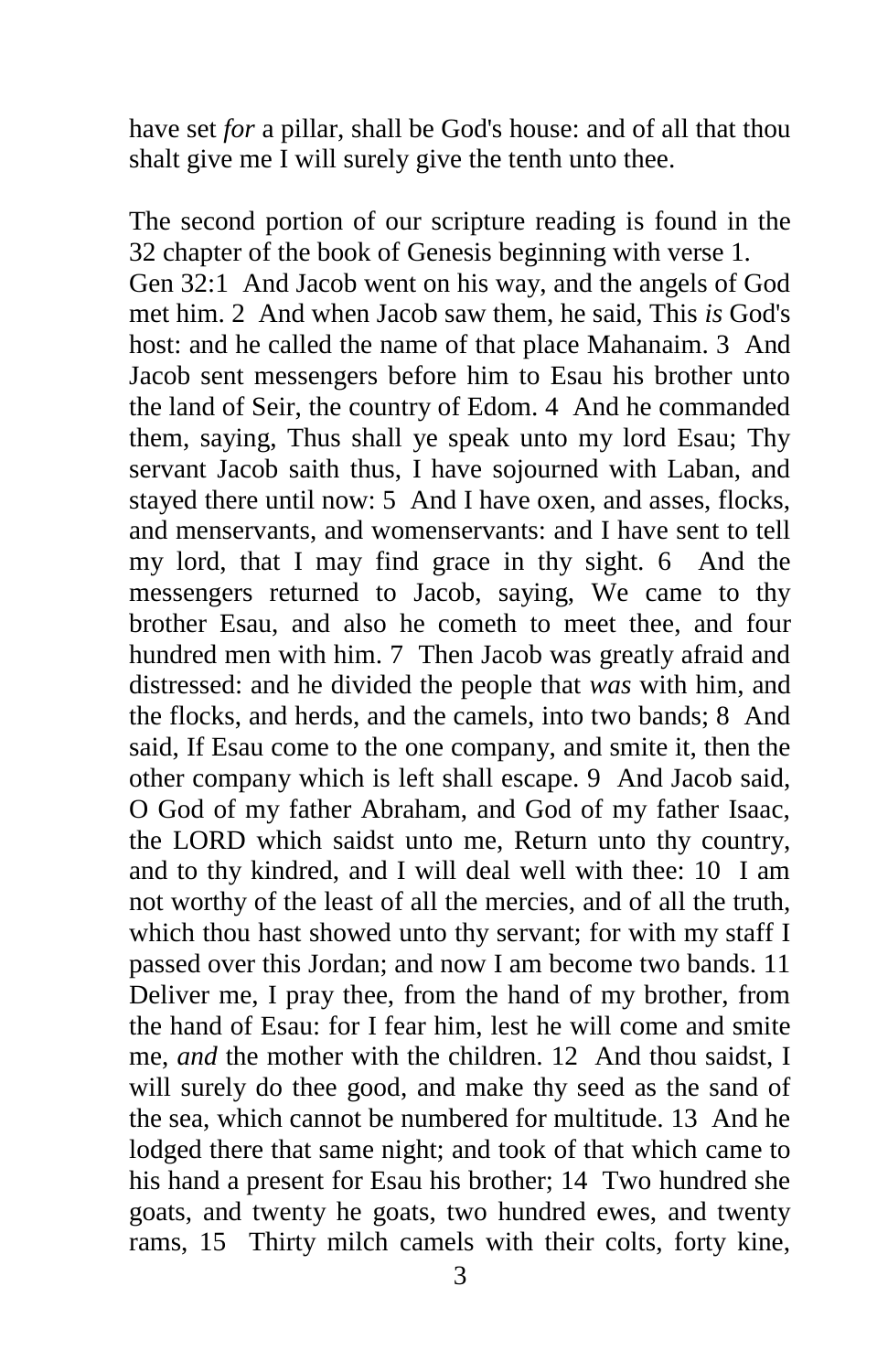have set *for* a pillar, shall be God's house: and of all that thou shalt give me I will surely give the tenth unto thee.

The second portion of our scripture reading is found in the 32 chapter of the book of Genesis beginning with verse 1. Gen 32:1 And Jacob went on his way, and the angels of God met him. 2 And when Jacob saw them, he said, This *is* God's host: and he called the name of that place Mahanaim. 3 And Jacob sent messengers before him to Esau his brother unto the land of Seir, the country of Edom. 4 And he commanded them, saying, Thus shall ye speak unto my lord Esau; Thy servant Jacob saith thus, I have sojourned with Laban, and stayed there until now: 5 And I have oxen, and asses, flocks, and menservants, and womenservants: and I have sent to tell my lord, that I may find grace in thy sight. 6 And the messengers returned to Jacob, saying, We came to thy brother Esau, and also he cometh to meet thee, and four hundred men with him. 7 Then Jacob was greatly afraid and distressed: and he divided the people that *was* with him, and the flocks, and herds, and the camels, into two bands; 8 And said, If Esau come to the one company, and smite it, then the other company which is left shall escape. 9 And Jacob said, O God of my father Abraham, and God of my father Isaac, the LORD which saidst unto me, Return unto thy country, and to thy kindred, and I will deal well with thee: 10 I am not worthy of the least of all the mercies, and of all the truth, which thou hast showed unto thy servant; for with my staff I passed over this Jordan; and now I am become two bands. 11 Deliver me, I pray thee, from the hand of my brother, from the hand of Esau: for I fear him, lest he will come and smite me, *and* the mother with the children. 12 And thou saidst, I will surely do thee good, and make thy seed as the sand of the sea, which cannot be numbered for multitude. 13 And he lodged there that same night; and took of that which came to his hand a present for Esau his brother; 14 Two hundred she goats, and twenty he goats, two hundred ewes, and twenty rams, 15 Thirty milch camels with their colts, forty kine,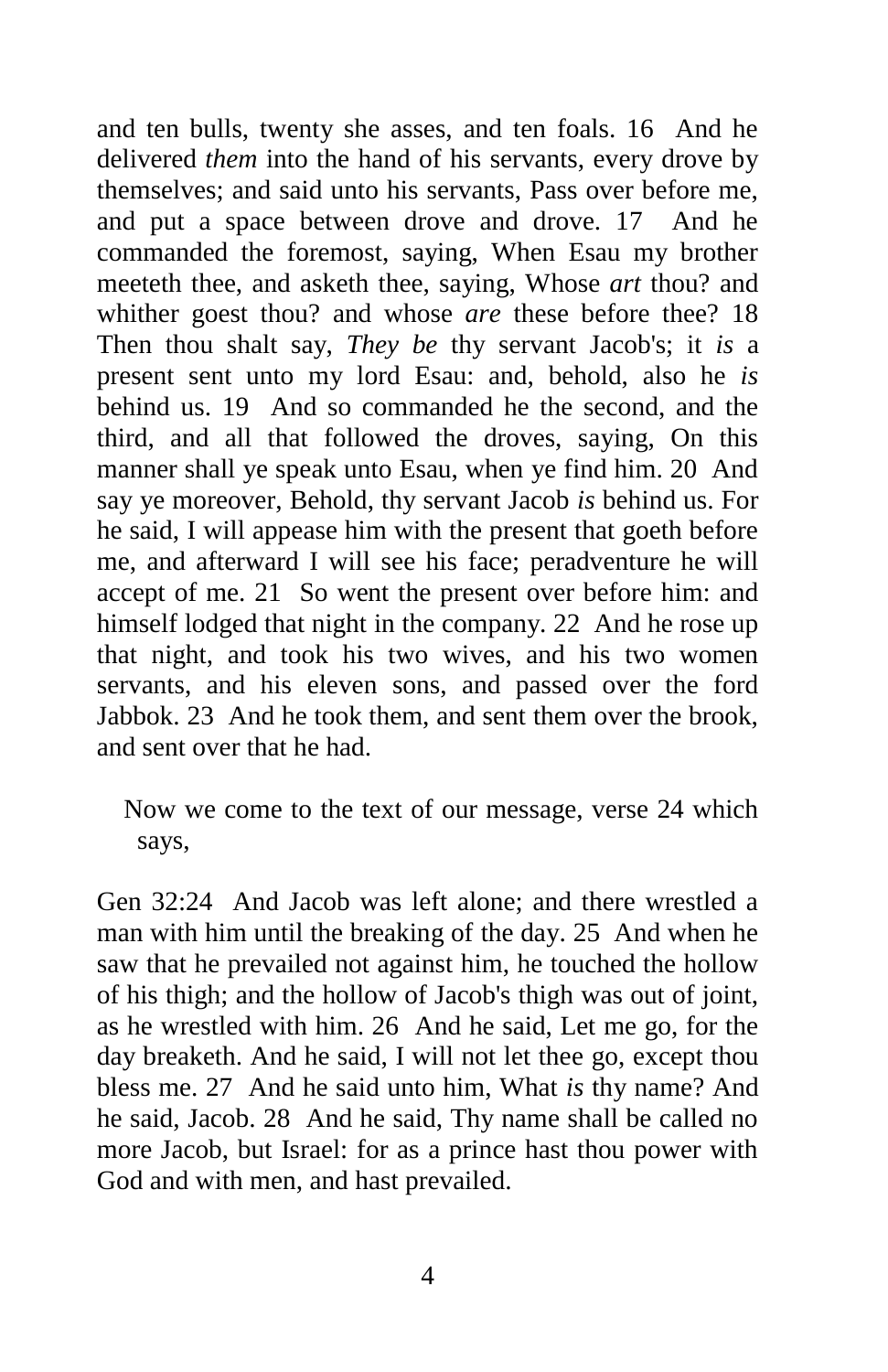and ten bulls, twenty she asses, and ten foals. 16 And he delivered *them* into the hand of his servants, every drove by themselves; and said unto his servants, Pass over before me, and put a space between drove and drove. 17 And he commanded the foremost, saying, When Esau my brother meeteth thee, and asketh thee, saying, Whose *art* thou? and whither goest thou? and whose *are* these before thee? 18 Then thou shalt say, *They be* thy servant Jacob's; it *is* a present sent unto my lord Esau: and, behold, also he *is* behind us. 19 And so commanded he the second, and the third, and all that followed the droves, saying, On this manner shall ye speak unto Esau, when ye find him. 20 And say ye moreover, Behold, thy servant Jacob *is* behind us. For he said, I will appease him with the present that goeth before me, and afterward I will see his face; peradventure he will accept of me. 21 So went the present over before him: and himself lodged that night in the company. 22 And he rose up that night, and took his two wives, and his two women servants, and his eleven sons, and passed over the ford Jabbok. 23 And he took them, and sent them over the brook, and sent over that he had.

 Now we come to the text of our message, verse 24 which says,

Gen 32:24 And Jacob was left alone; and there wrestled a man with him until the breaking of the day. 25 And when he saw that he prevailed not against him, he touched the hollow of his thigh; and the hollow of Jacob's thigh was out of joint, as he wrestled with him. 26 And he said, Let me go, for the day breaketh. And he said, I will not let thee go, except thou bless me. 27 And he said unto him, What *is* thy name? And he said, Jacob. 28 And he said, Thy name shall be called no more Jacob, but Israel: for as a prince hast thou power with God and with men, and hast prevailed.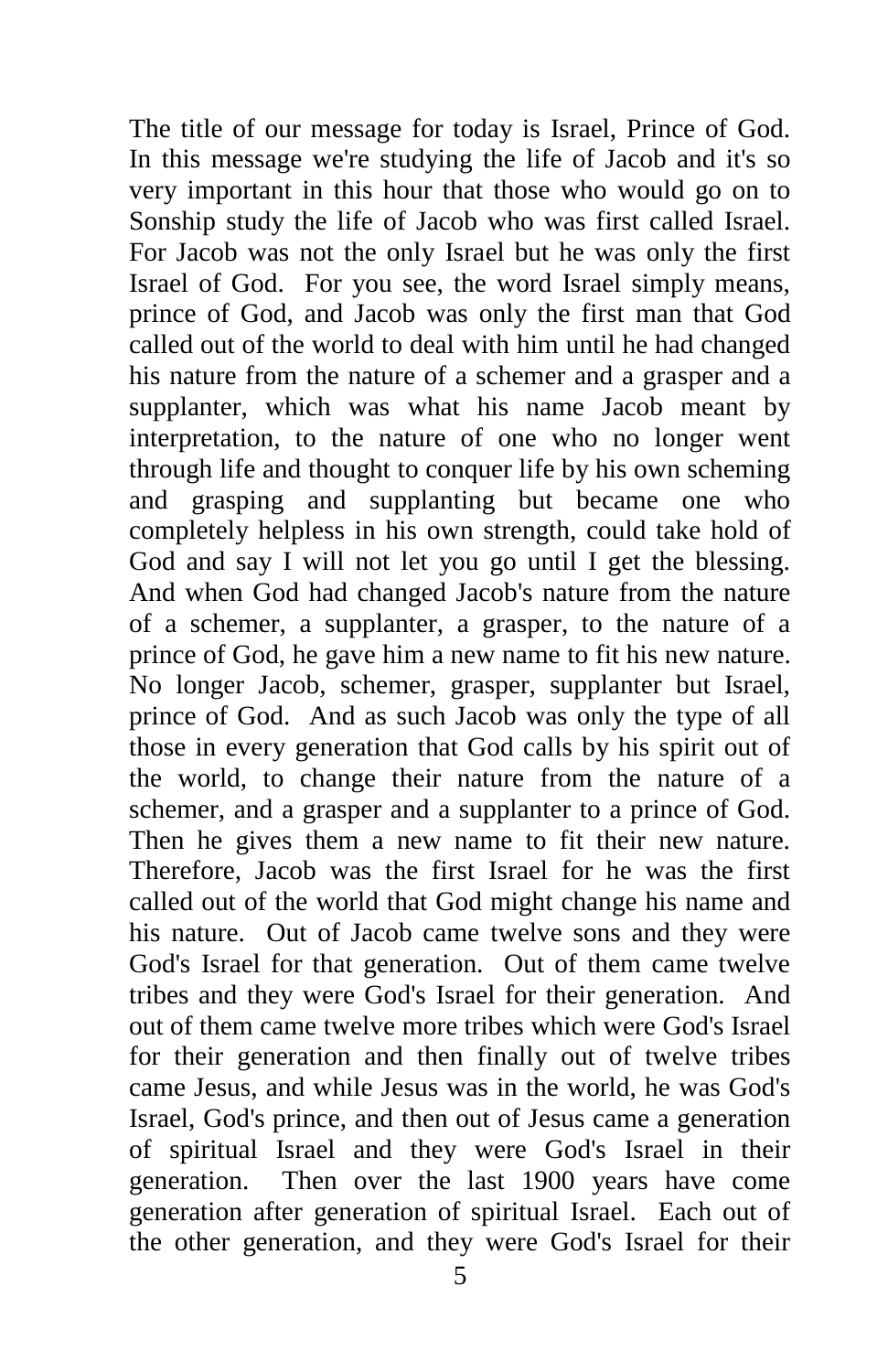The title of our message for today is Israel, Prince of God. In this message we're studying the life of Jacob and it's so very important in this hour that those who would go on to Sonship study the life of Jacob who was first called Israel. For Jacob was not the only Israel but he was only the first Israel of God. For you see, the word Israel simply means, prince of God, and Jacob was only the first man that God called out of the world to deal with him until he had changed his nature from the nature of a schemer and a grasper and a supplanter, which was what his name Jacob meant by interpretation, to the nature of one who no longer went through life and thought to conquer life by his own scheming and grasping and supplanting but became one who completely helpless in his own strength, could take hold of God and say I will not let you go until I get the blessing. And when God had changed Jacob's nature from the nature of a schemer, a supplanter, a grasper, to the nature of a prince of God, he gave him a new name to fit his new nature. No longer Jacob, schemer, grasper, supplanter but Israel, prince of God. And as such Jacob was only the type of all those in every generation that God calls by his spirit out of the world, to change their nature from the nature of a schemer, and a grasper and a supplanter to a prince of God. Then he gives them a new name to fit their new nature. Therefore, Jacob was the first Israel for he was the first called out of the world that God might change his name and his nature. Out of Jacob came twelve sons and they were God's Israel for that generation. Out of them came twelve tribes and they were God's Israel for their generation. And out of them came twelve more tribes which were God's Israel for their generation and then finally out of twelve tribes came Jesus, and while Jesus was in the world, he was God's Israel, God's prince, and then out of Jesus came a generation of spiritual Israel and they were God's Israel in their generation. Then over the last 1900 years have come generation after generation of spiritual Israel. Each out of the other generation, and they were God's Israel for their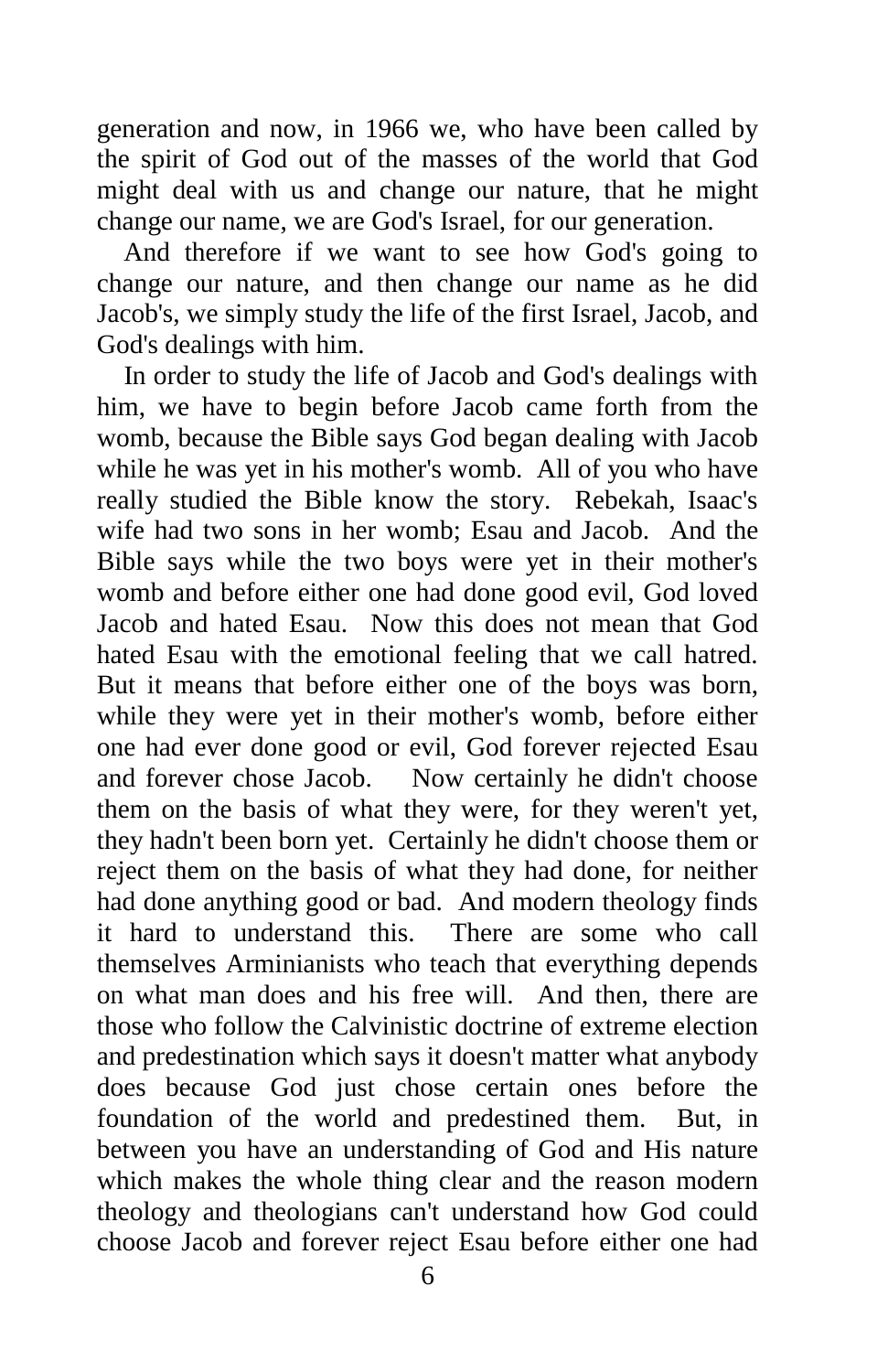generation and now, in 1966 we, who have been called by the spirit of God out of the masses of the world that God might deal with us and change our nature, that he might change our name, we are God's Israel, for our generation.

 And therefore if we want to see how God's going to change our nature, and then change our name as he did Jacob's, we simply study the life of the first Israel, Jacob, and God's dealings with him.

 In order to study the life of Jacob and God's dealings with him, we have to begin before Jacob came forth from the womb, because the Bible says God began dealing with Jacob while he was yet in his mother's womb. All of you who have really studied the Bible know the story. Rebekah, Isaac's wife had two sons in her womb; Esau and Jacob. And the Bible says while the two boys were yet in their mother's womb and before either one had done good evil, God loved Jacob and hated Esau. Now this does not mean that God hated Esau with the emotional feeling that we call hatred. But it means that before either one of the boys was born, while they were yet in their mother's womb, before either one had ever done good or evil, God forever rejected Esau and forever chose Jacob. Now certainly he didn't choose them on the basis of what they were, for they weren't yet, they hadn't been born yet. Certainly he didn't choose them or reject them on the basis of what they had done, for neither had done anything good or bad. And modern theology finds it hard to understand this. There are some who call themselves Arminianists who teach that everything depends on what man does and his free will. And then, there are those who follow the Calvinistic doctrine of extreme election and predestination which says it doesn't matter what anybody does because God just chose certain ones before the foundation of the world and predestined them. But, in between you have an understanding of God and His nature which makes the whole thing clear and the reason modern theology and theologians can't understand how God could choose Jacob and forever reject Esau before either one had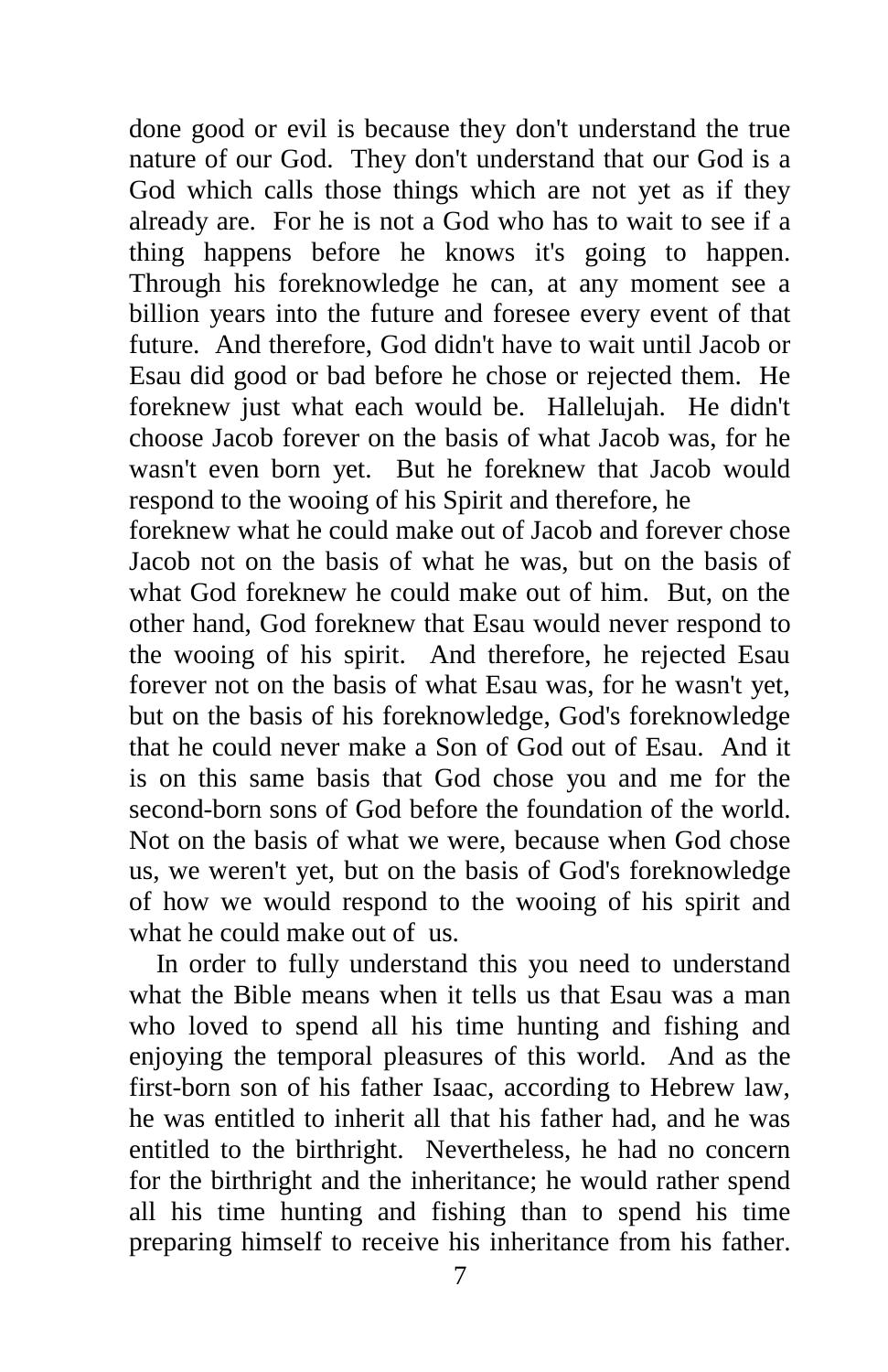done good or evil is because they don't understand the true nature of our God. They don't understand that our God is a God which calls those things which are not yet as if they already are. For he is not a God who has to wait to see if a thing happens before he knows it's going to happen. Through his foreknowledge he can, at any moment see a billion years into the future and foresee every event of that future. And therefore, God didn't have to wait until Jacob or Esau did good or bad before he chose or rejected them. He foreknew just what each would be. Hallelujah. He didn't choose Jacob forever on the basis of what Jacob was, for he wasn't even born yet. But he foreknew that Jacob would respond to the wooing of his Spirit and therefore, he

foreknew what he could make out of Jacob and forever chose Jacob not on the basis of what he was, but on the basis of what God foreknew he could make out of him. But, on the other hand, God foreknew that Esau would never respond to the wooing of his spirit. And therefore, he rejected Esau forever not on the basis of what Esau was, for he wasn't yet, but on the basis of his foreknowledge, God's foreknowledge that he could never make a Son of God out of Esau. And it is on this same basis that God chose you and me for the second-born sons of God before the foundation of the world. Not on the basis of what we were, because when God chose us, we weren't yet, but on the basis of God's foreknowledge of how we would respond to the wooing of his spirit and what he could make out of us.

 In order to fully understand this you need to understand what the Bible means when it tells us that Esau was a man who loved to spend all his time hunting and fishing and enjoying the temporal pleasures of this world. And as the first-born son of his father Isaac, according to Hebrew law, he was entitled to inherit all that his father had, and he was entitled to the birthright. Nevertheless, he had no concern for the birthright and the inheritance; he would rather spend all his time hunting and fishing than to spend his time preparing himself to receive his inheritance from his father.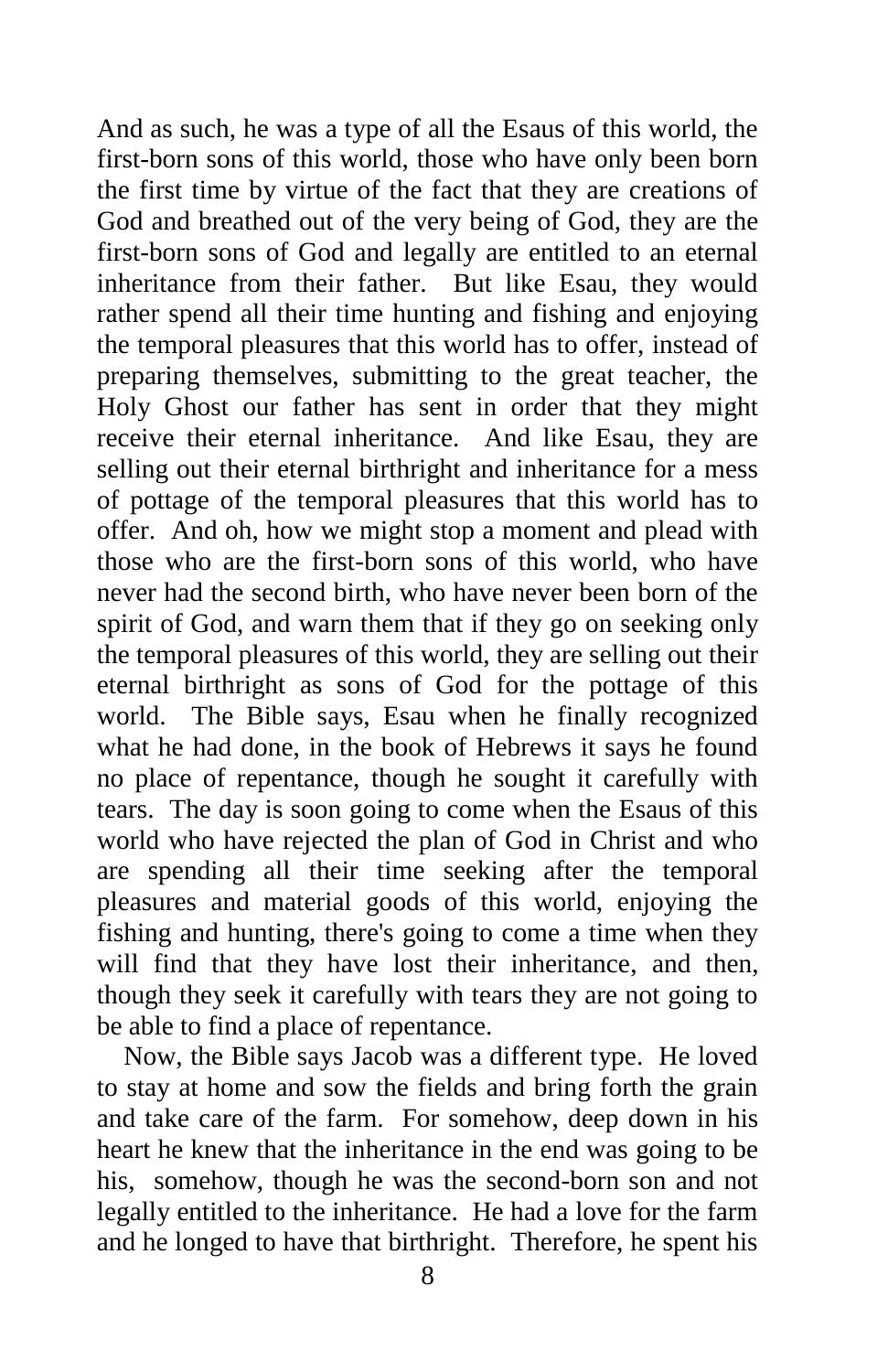And as such, he was a type of all the Esaus of this world, the first-born sons of this world, those who have only been born the first time by virtue of the fact that they are creations of God and breathed out of the very being of God, they are the first-born sons of God and legally are entitled to an eternal inheritance from their father. But like Esau, they would rather spend all their time hunting and fishing and enjoying the temporal pleasures that this world has to offer, instead of preparing themselves, submitting to the great teacher, the Holy Ghost our father has sent in order that they might receive their eternal inheritance. And like Esau, they are selling out their eternal birthright and inheritance for a mess of pottage of the temporal pleasures that this world has to offer. And oh, how we might stop a moment and plead with those who are the first-born sons of this world, who have never had the second birth, who have never been born of the spirit of God, and warn them that if they go on seeking only the temporal pleasures of this world, they are selling out their eternal birthright as sons of God for the pottage of this world. The Bible says, Esau when he finally recognized what he had done, in the book of Hebrews it says he found no place of repentance, though he sought it carefully with tears. The day is soon going to come when the Esaus of this world who have rejected the plan of God in Christ and who are spending all their time seeking after the temporal pleasures and material goods of this world, enjoying the fishing and hunting, there's going to come a time when they will find that they have lost their inheritance, and then, though they seek it carefully with tears they are not going to be able to find a place of repentance.

 Now, the Bible says Jacob was a different type. He loved to stay at home and sow the fields and bring forth the grain and take care of the farm. For somehow, deep down in his heart he knew that the inheritance in the end was going to be his, somehow, though he was the second-born son and not legally entitled to the inheritance. He had a love for the farm and he longed to have that birthright. Therefore, he spent his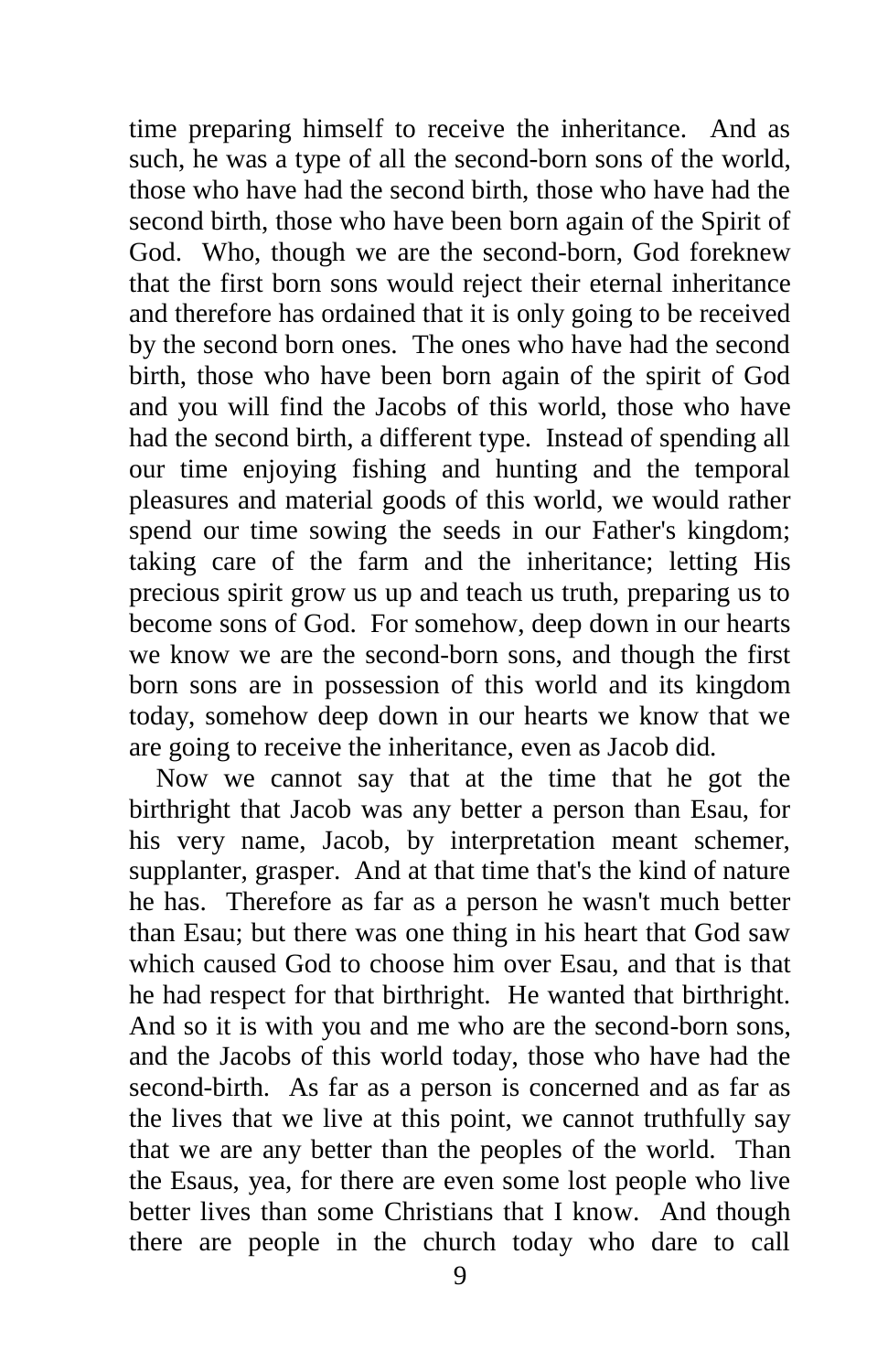time preparing himself to receive the inheritance. And as such, he was a type of all the second-born sons of the world, those who have had the second birth, those who have had the second birth, those who have been born again of the Spirit of God. Who, though we are the second-born, God foreknew that the first born sons would reject their eternal inheritance and therefore has ordained that it is only going to be received by the second born ones. The ones who have had the second birth, those who have been born again of the spirit of God and you will find the Jacobs of this world, those who have had the second birth, a different type. Instead of spending all our time enjoying fishing and hunting and the temporal pleasures and material goods of this world, we would rather spend our time sowing the seeds in our Father's kingdom; taking care of the farm and the inheritance; letting His precious spirit grow us up and teach us truth, preparing us to become sons of God. For somehow, deep down in our hearts we know we are the second-born sons, and though the first born sons are in possession of this world and its kingdom today, somehow deep down in our hearts we know that we are going to receive the inheritance, even as Jacob did.

 Now we cannot say that at the time that he got the birthright that Jacob was any better a person than Esau, for his very name, Jacob, by interpretation meant schemer, supplanter, grasper. And at that time that's the kind of nature he has. Therefore as far as a person he wasn't much better than Esau; but there was one thing in his heart that God saw which caused God to choose him over Esau, and that is that he had respect for that birthright. He wanted that birthright. And so it is with you and me who are the second-born sons, and the Jacobs of this world today, those who have had the second-birth. As far as a person is concerned and as far as the lives that we live at this point, we cannot truthfully say that we are any better than the peoples of the world. Than the Esaus, yea, for there are even some lost people who live better lives than some Christians that I know. And though there are people in the church today who dare to call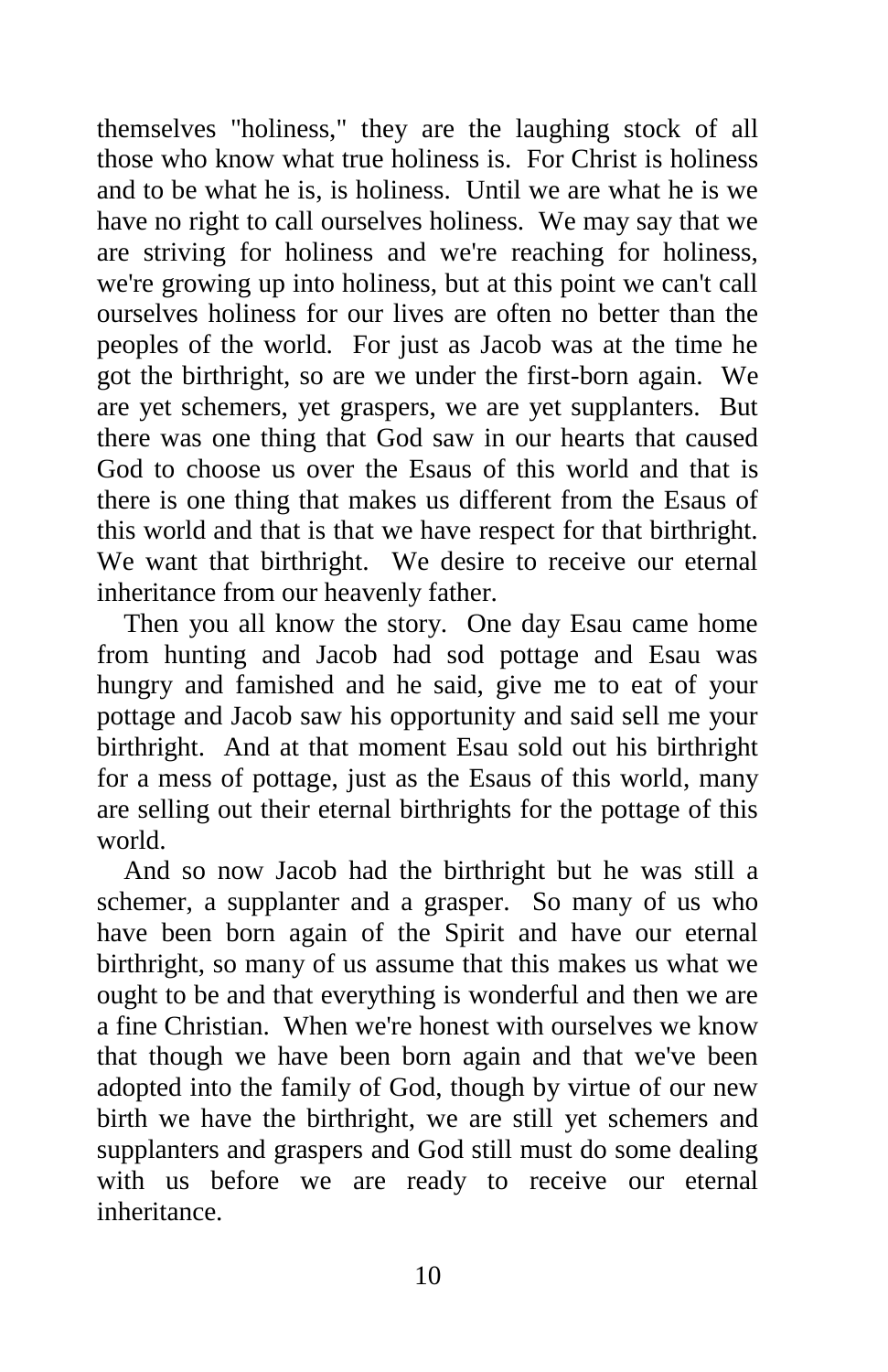themselves "holiness," they are the laughing stock of all those who know what true holiness is. For Christ is holiness and to be what he is, is holiness. Until we are what he is we have no right to call ourselves holiness. We may say that we are striving for holiness and we're reaching for holiness, we're growing up into holiness, but at this point we can't call ourselves holiness for our lives are often no better than the peoples of the world. For just as Jacob was at the time he got the birthright, so are we under the first-born again. We are yet schemers, yet graspers, we are yet supplanters. But there was one thing that God saw in our hearts that caused God to choose us over the Esaus of this world and that is there is one thing that makes us different from the Esaus of this world and that is that we have respect for that birthright. We want that birthright. We desire to receive our eternal inheritance from our heavenly father.

 Then you all know the story. One day Esau came home from hunting and Jacob had sod pottage and Esau was hungry and famished and he said, give me to eat of your pottage and Jacob saw his opportunity and said sell me your birthright. And at that moment Esau sold out his birthright for a mess of pottage, just as the Esaus of this world, many are selling out their eternal birthrights for the pottage of this world.

 And so now Jacob had the birthright but he was still a schemer, a supplanter and a grasper. So many of us who have been born again of the Spirit and have our eternal birthright, so many of us assume that this makes us what we ought to be and that everything is wonderful and then we are a fine Christian. When we're honest with ourselves we know that though we have been born again and that we've been adopted into the family of God, though by virtue of our new birth we have the birthright, we are still yet schemers and supplanters and graspers and God still must do some dealing with us before we are ready to receive our eternal inheritance.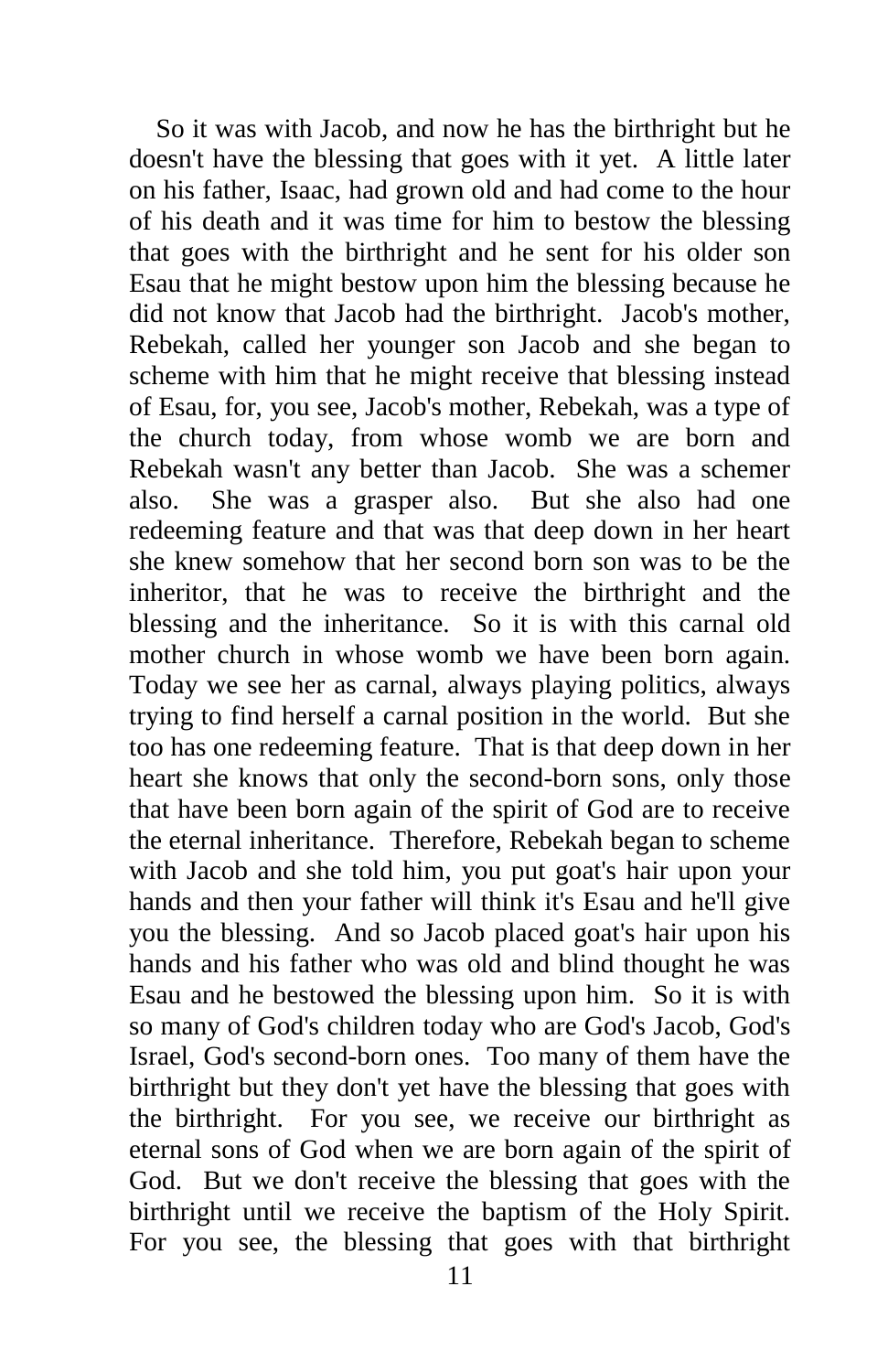So it was with Jacob, and now he has the birthright but he doesn't have the blessing that goes with it yet. A little later on his father, Isaac, had grown old and had come to the hour of his death and it was time for him to bestow the blessing that goes with the birthright and he sent for his older son Esau that he might bestow upon him the blessing because he did not know that Jacob had the birthright. Jacob's mother, Rebekah, called her younger son Jacob and she began to scheme with him that he might receive that blessing instead of Esau, for, you see, Jacob's mother, Rebekah, was a type of the church today, from whose womb we are born and Rebekah wasn't any better than Jacob. She was a schemer also. She was a grasper also. But she also had one redeeming feature and that was that deep down in her heart she knew somehow that her second born son was to be the inheritor, that he was to receive the birthright and the blessing and the inheritance. So it is with this carnal old mother church in whose womb we have been born again. Today we see her as carnal, always playing politics, always trying to find herself a carnal position in the world. But she too has one redeeming feature. That is that deep down in her heart she knows that only the second-born sons, only those that have been born again of the spirit of God are to receive the eternal inheritance. Therefore, Rebekah began to scheme with Jacob and she told him, you put goat's hair upon your hands and then your father will think it's Esau and he'll give you the blessing. And so Jacob placed goat's hair upon his hands and his father who was old and blind thought he was Esau and he bestowed the blessing upon him. So it is with so many of God's children today who are God's Jacob, God's Israel, God's second-born ones. Too many of them have the birthright but they don't yet have the blessing that goes with the birthright. For you see, we receive our birthright as eternal sons of God when we are born again of the spirit of God. But we don't receive the blessing that goes with the birthright until we receive the baptism of the Holy Spirit. For you see, the blessing that goes with that birthright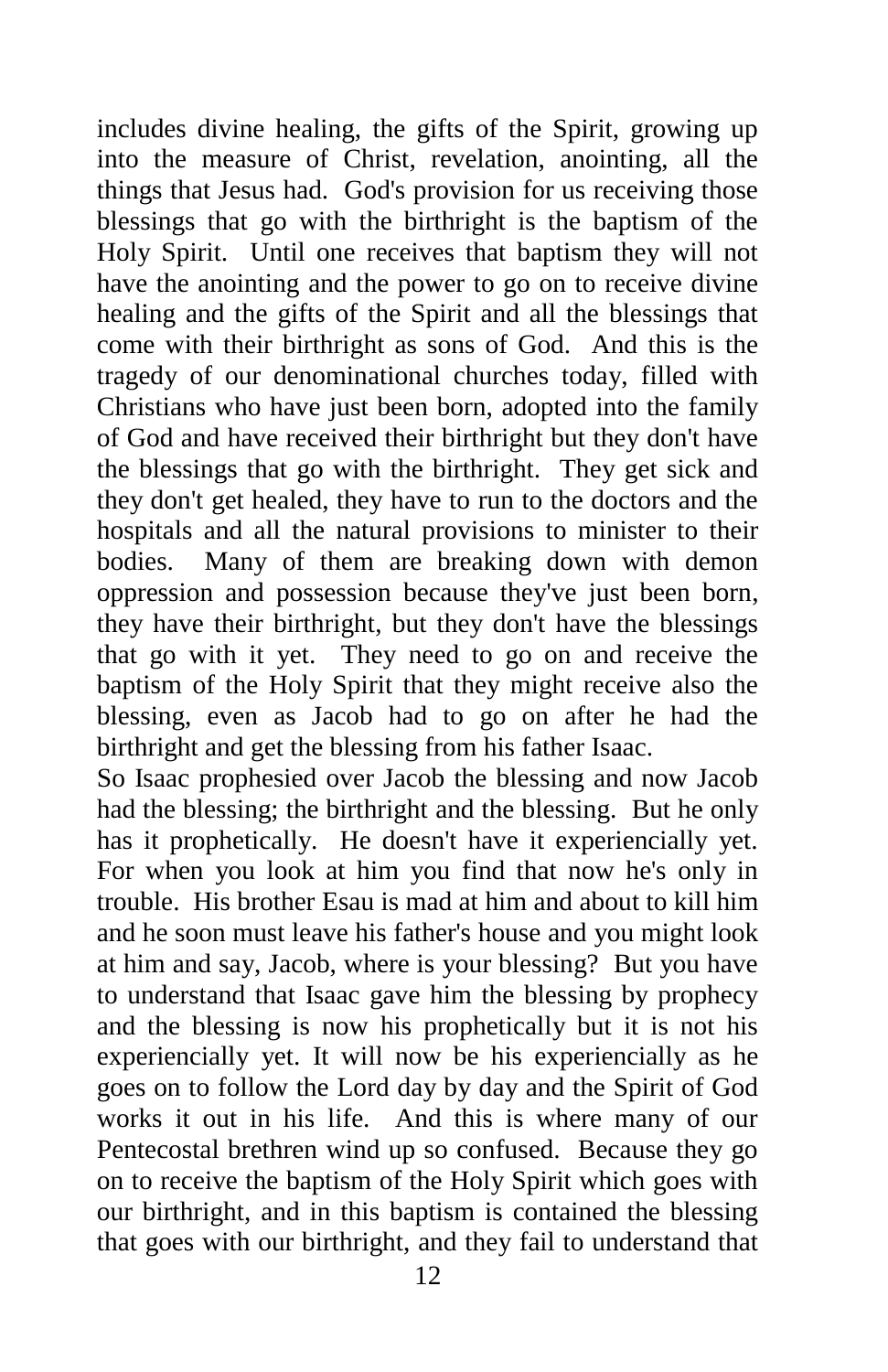includes divine healing, the gifts of the Spirit, growing up into the measure of Christ, revelation, anointing, all the things that Jesus had. God's provision for us receiving those blessings that go with the birthright is the baptism of the Holy Spirit. Until one receives that baptism they will not have the anointing and the power to go on to receive divine healing and the gifts of the Spirit and all the blessings that come with their birthright as sons of God. And this is the tragedy of our denominational churches today, filled with Christians who have just been born, adopted into the family of God and have received their birthright but they don't have the blessings that go with the birthright. They get sick and they don't get healed, they have to run to the doctors and the hospitals and all the natural provisions to minister to their bodies. Many of them are breaking down with demon oppression and possession because they've just been born, they have their birthright, but they don't have the blessings that go with it yet. They need to go on and receive the baptism of the Holy Spirit that they might receive also the blessing, even as Jacob had to go on after he had the birthright and get the blessing from his father Isaac.

So Isaac prophesied over Jacob the blessing and now Jacob had the blessing; the birthright and the blessing. But he only has it prophetically. He doesn't have it experiencially yet. For when you look at him you find that now he's only in trouble. His brother Esau is mad at him and about to kill him and he soon must leave his father's house and you might look at him and say, Jacob, where is your blessing? But you have to understand that Isaac gave him the blessing by prophecy and the blessing is now his prophetically but it is not his experiencially yet. It will now be his experiencially as he goes on to follow the Lord day by day and the Spirit of God works it out in his life. And this is where many of our Pentecostal brethren wind up so confused. Because they go on to receive the baptism of the Holy Spirit which goes with our birthright, and in this baptism is contained the blessing that goes with our birthright, and they fail to understand that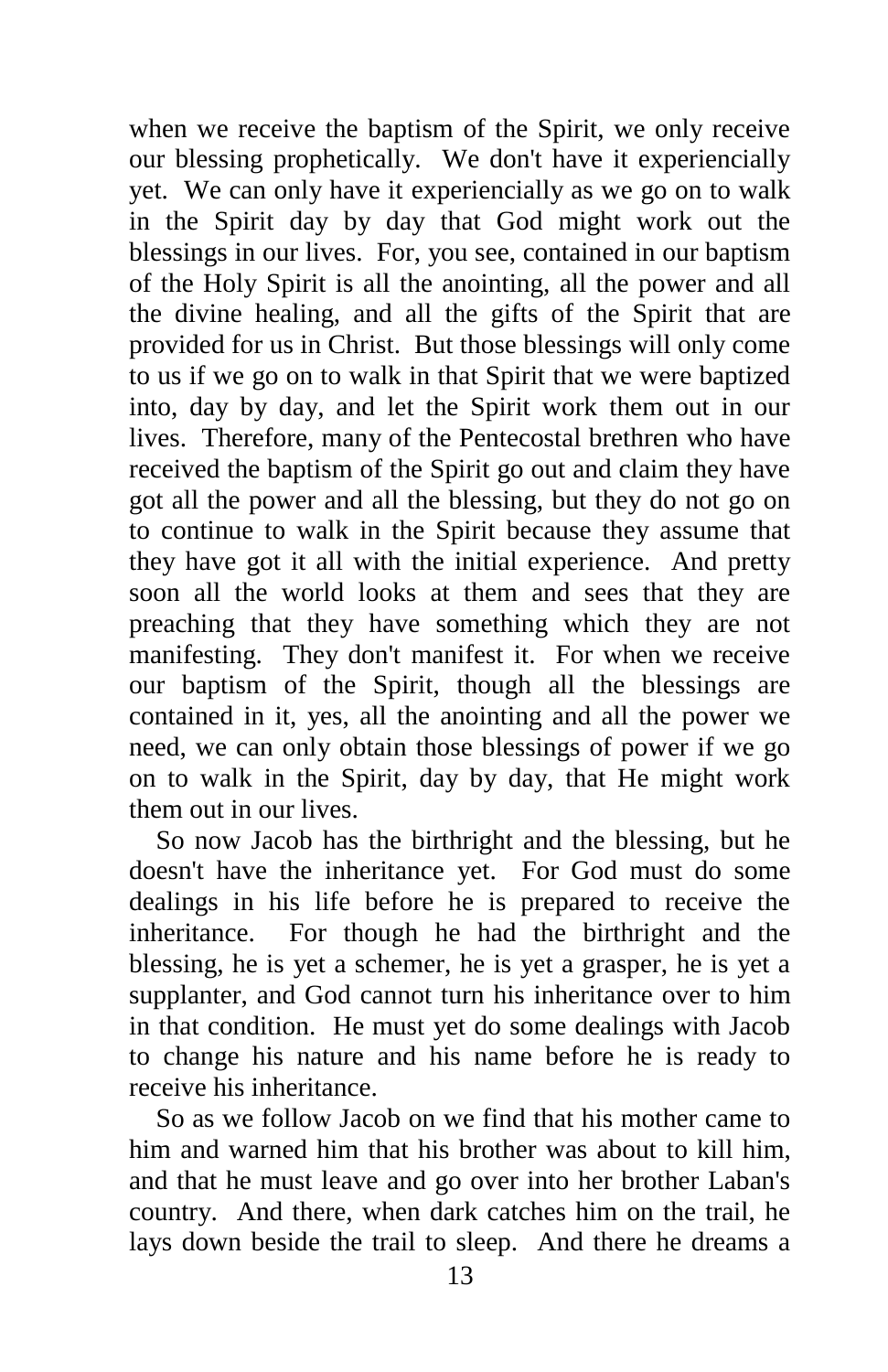when we receive the baptism of the Spirit, we only receive our blessing prophetically. We don't have it experiencially yet. We can only have it experiencially as we go on to walk in the Spirit day by day that God might work out the blessings in our lives. For, you see, contained in our baptism of the Holy Spirit is all the anointing, all the power and all the divine healing, and all the gifts of the Spirit that are provided for us in Christ. But those blessings will only come to us if we go on to walk in that Spirit that we were baptized into, day by day, and let the Spirit work them out in our lives. Therefore, many of the Pentecostal brethren who have received the baptism of the Spirit go out and claim they have got all the power and all the blessing, but they do not go on to continue to walk in the Spirit because they assume that they have got it all with the initial experience. And pretty soon all the world looks at them and sees that they are preaching that they have something which they are not manifesting. They don't manifest it. For when we receive our baptism of the Spirit, though all the blessings are contained in it, yes, all the anointing and all the power we need, we can only obtain those blessings of power if we go on to walk in the Spirit, day by day, that He might work them out in our lives.

 So now Jacob has the birthright and the blessing, but he doesn't have the inheritance yet. For God must do some dealings in his life before he is prepared to receive the inheritance. For though he had the birthright and the blessing, he is yet a schemer, he is yet a grasper, he is yet a supplanter, and God cannot turn his inheritance over to him in that condition. He must yet do some dealings with Jacob to change his nature and his name before he is ready to receive his inheritance.

 So as we follow Jacob on we find that his mother came to him and warned him that his brother was about to kill him, and that he must leave and go over into her brother Laban's country. And there, when dark catches him on the trail, he lays down beside the trail to sleep. And there he dreams a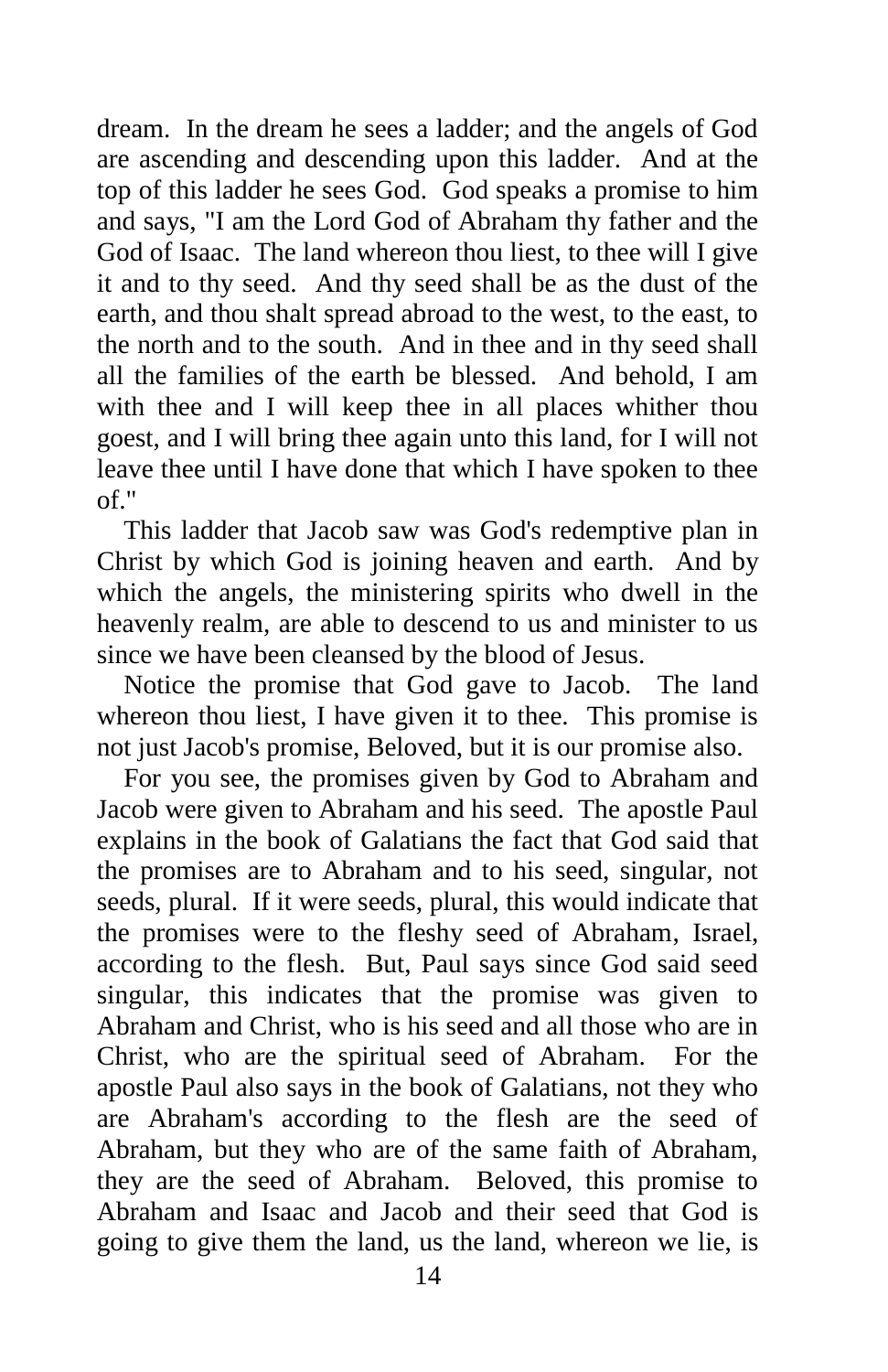dream. In the dream he sees a ladder; and the angels of God are ascending and descending upon this ladder. And at the top of this ladder he sees God. God speaks a promise to him and says, "I am the Lord God of Abraham thy father and the God of Isaac. The land whereon thou liest, to thee will I give it and to thy seed. And thy seed shall be as the dust of the earth, and thou shalt spread abroad to the west, to the east, to the north and to the south. And in thee and in thy seed shall all the families of the earth be blessed. And behold, I am with thee and I will keep thee in all places whither thou goest, and I will bring thee again unto this land, for I will not leave thee until I have done that which I have spoken to thee of."

 This ladder that Jacob saw was God's redemptive plan in Christ by which God is joining heaven and earth. And by which the angels, the ministering spirits who dwell in the heavenly realm, are able to descend to us and minister to us since we have been cleansed by the blood of Jesus.

 Notice the promise that God gave to Jacob. The land whereon thou liest, I have given it to thee. This promise is not just Jacob's promise, Beloved, but it is our promise also.

 For you see, the promises given by God to Abraham and Jacob were given to Abraham and his seed. The apostle Paul explains in the book of Galatians the fact that God said that the promises are to Abraham and to his seed, singular, not seeds, plural. If it were seeds, plural, this would indicate that the promises were to the fleshy seed of Abraham, Israel, according to the flesh. But, Paul says since God said seed singular, this indicates that the promise was given to Abraham and Christ, who is his seed and all those who are in Christ, who are the spiritual seed of Abraham. For the apostle Paul also says in the book of Galatians, not they who are Abraham's according to the flesh are the seed of Abraham, but they who are of the same faith of Abraham, they are the seed of Abraham. Beloved, this promise to Abraham and Isaac and Jacob and their seed that God is going to give them the land, us the land, whereon we lie, is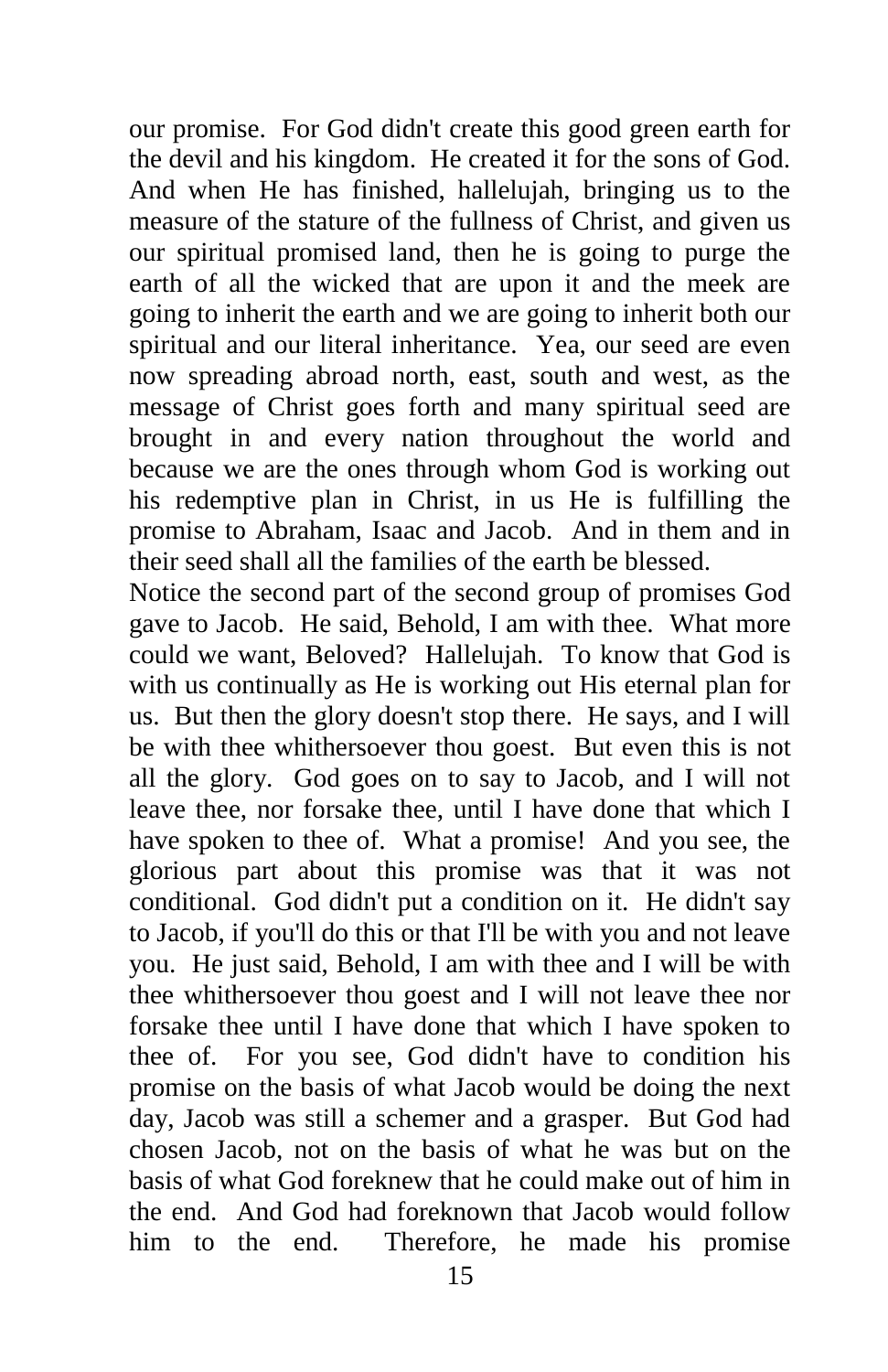our promise. For God didn't create this good green earth for the devil and his kingdom. He created it for the sons of God. And when He has finished, hallelujah, bringing us to the measure of the stature of the fullness of Christ, and given us our spiritual promised land, then he is going to purge the earth of all the wicked that are upon it and the meek are going to inherit the earth and we are going to inherit both our spiritual and our literal inheritance. Yea, our seed are even now spreading abroad north, east, south and west, as the message of Christ goes forth and many spiritual seed are brought in and every nation throughout the world and because we are the ones through whom God is working out his redemptive plan in Christ, in us He is fulfilling the promise to Abraham, Isaac and Jacob. And in them and in their seed shall all the families of the earth be blessed.

Notice the second part of the second group of promises God gave to Jacob. He said, Behold, I am with thee. What more could we want, Beloved? Hallelujah. To know that God is with us continually as He is working out His eternal plan for us. But then the glory doesn't stop there. He says, and I will be with thee whithersoever thou goest. But even this is not all the glory. God goes on to say to Jacob, and I will not leave thee, nor forsake thee, until I have done that which I have spoken to thee of. What a promise! And you see, the glorious part about this promise was that it was not conditional. God didn't put a condition on it. He didn't say to Jacob, if you'll do this or that I'll be with you and not leave you. He just said, Behold, I am with thee and I will be with thee whithersoever thou goest and I will not leave thee nor forsake thee until I have done that which I have spoken to thee of. For you see, God didn't have to condition his promise on the basis of what Jacob would be doing the next day, Jacob was still a schemer and a grasper. But God had chosen Jacob, not on the basis of what he was but on the basis of what God foreknew that he could make out of him in the end. And God had foreknown that Jacob would follow him to the end. Therefore, he made his promise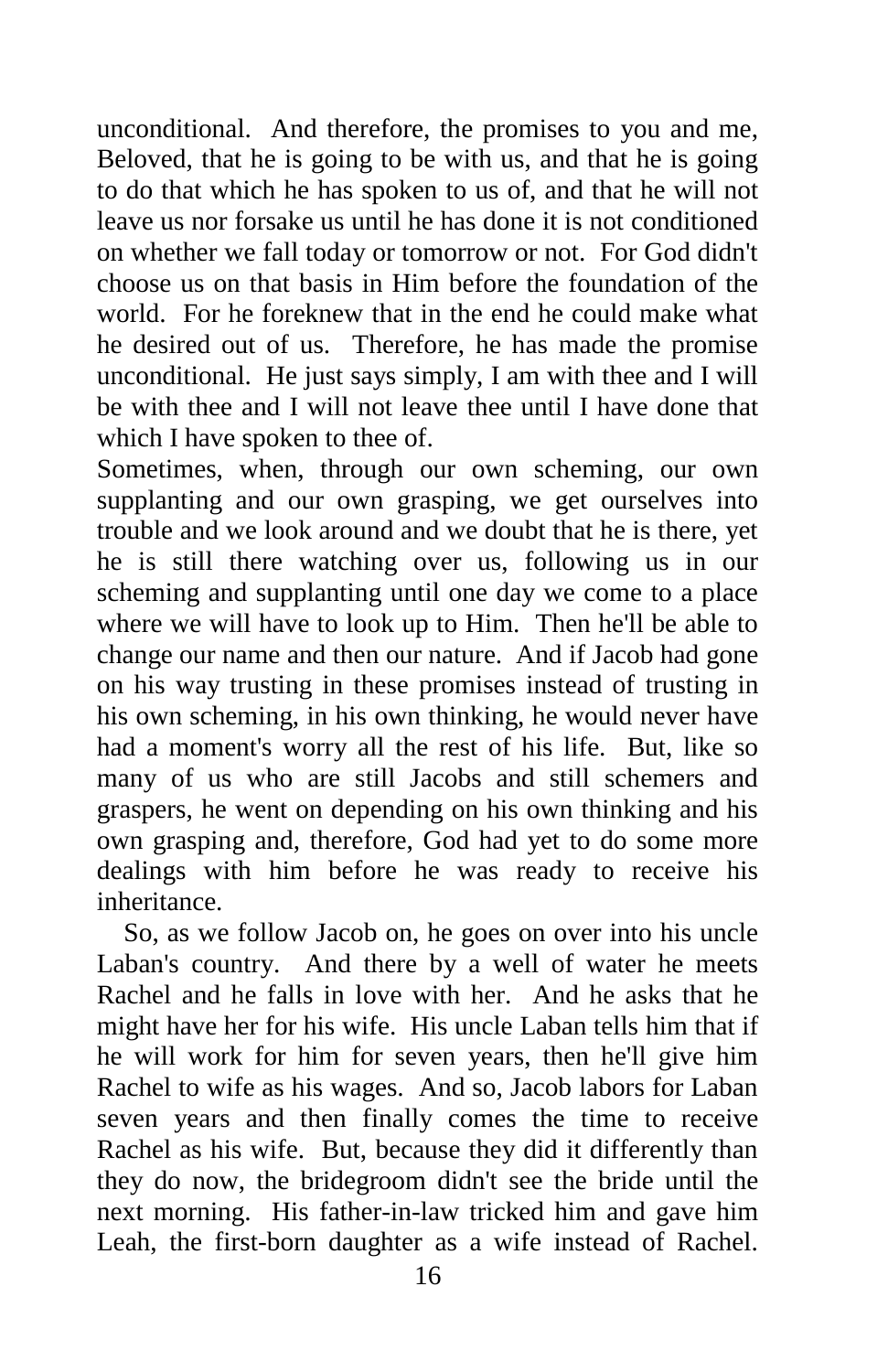unconditional. And therefore, the promises to you and me, Beloved, that he is going to be with us, and that he is going to do that which he has spoken to us of, and that he will not leave us nor forsake us until he has done it is not conditioned on whether we fall today or tomorrow or not. For God didn't choose us on that basis in Him before the foundation of the world. For he foreknew that in the end he could make what he desired out of us. Therefore, he has made the promise unconditional. He just says simply, I am with thee and I will be with thee and I will not leave thee until I have done that which I have spoken to thee of.

Sometimes, when, through our own scheming, our own supplanting and our own grasping, we get ourselves into trouble and we look around and we doubt that he is there, yet he is still there watching over us, following us in our scheming and supplanting until one day we come to a place where we will have to look up to Him. Then he'll be able to change our name and then our nature. And if Jacob had gone on his way trusting in these promises instead of trusting in his own scheming, in his own thinking, he would never have had a moment's worry all the rest of his life. But, like so many of us who are still Jacobs and still schemers and graspers, he went on depending on his own thinking and his own grasping and, therefore, God had yet to do some more dealings with him before he was ready to receive his inheritance.

 So, as we follow Jacob on, he goes on over into his uncle Laban's country. And there by a well of water he meets Rachel and he falls in love with her. And he asks that he might have her for his wife. His uncle Laban tells him that if he will work for him for seven years, then he'll give him Rachel to wife as his wages. And so, Jacob labors for Laban seven years and then finally comes the time to receive Rachel as his wife. But, because they did it differently than they do now, the bridegroom didn't see the bride until the next morning. His father-in-law tricked him and gave him Leah, the first-born daughter as a wife instead of Rachel.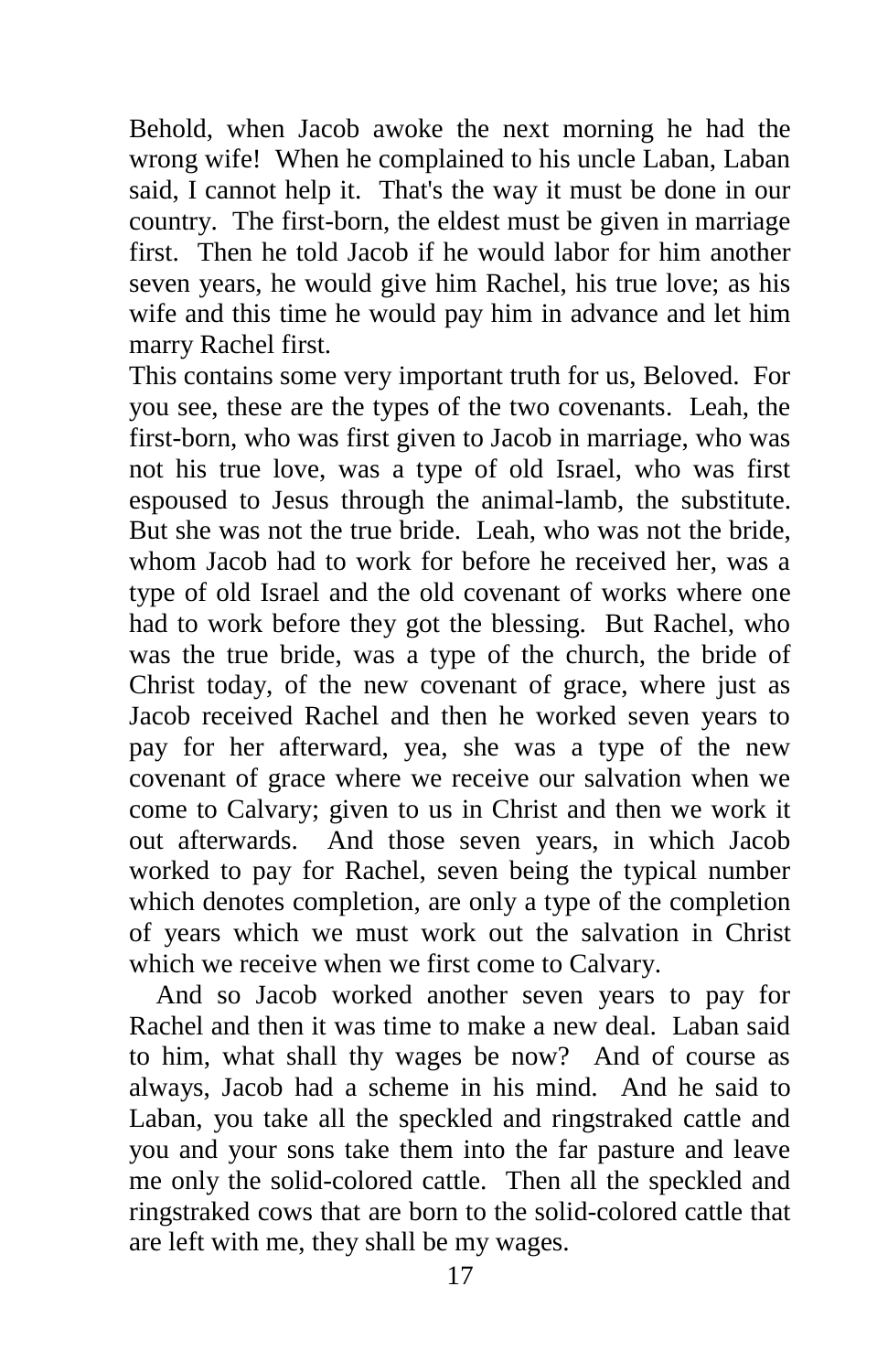Behold, when Jacob awoke the next morning he had the wrong wife! When he complained to his uncle Laban, Laban said, I cannot help it. That's the way it must be done in our country. The first-born, the eldest must be given in marriage first. Then he told Jacob if he would labor for him another seven years, he would give him Rachel, his true love; as his wife and this time he would pay him in advance and let him marry Rachel first.

This contains some very important truth for us, Beloved. For you see, these are the types of the two covenants. Leah, the first-born, who was first given to Jacob in marriage, who was not his true love, was a type of old Israel, who was first espoused to Jesus through the animal-lamb, the substitute. But she was not the true bride. Leah, who was not the bride, whom Jacob had to work for before he received her, was a type of old Israel and the old covenant of works where one had to work before they got the blessing. But Rachel, who was the true bride, was a type of the church, the bride of Christ today, of the new covenant of grace, where just as Jacob received Rachel and then he worked seven years to pay for her afterward, yea, she was a type of the new covenant of grace where we receive our salvation when we come to Calvary; given to us in Christ and then we work it out afterwards. And those seven years, in which Jacob worked to pay for Rachel, seven being the typical number which denotes completion, are only a type of the completion of years which we must work out the salvation in Christ which we receive when we first come to Calvary.

 And so Jacob worked another seven years to pay for Rachel and then it was time to make a new deal. Laban said to him, what shall thy wages be now? And of course as always, Jacob had a scheme in his mind. And he said to Laban, you take all the speckled and ringstraked cattle and you and your sons take them into the far pasture and leave me only the solid-colored cattle. Then all the speckled and ringstraked cows that are born to the solid-colored cattle that are left with me, they shall be my wages.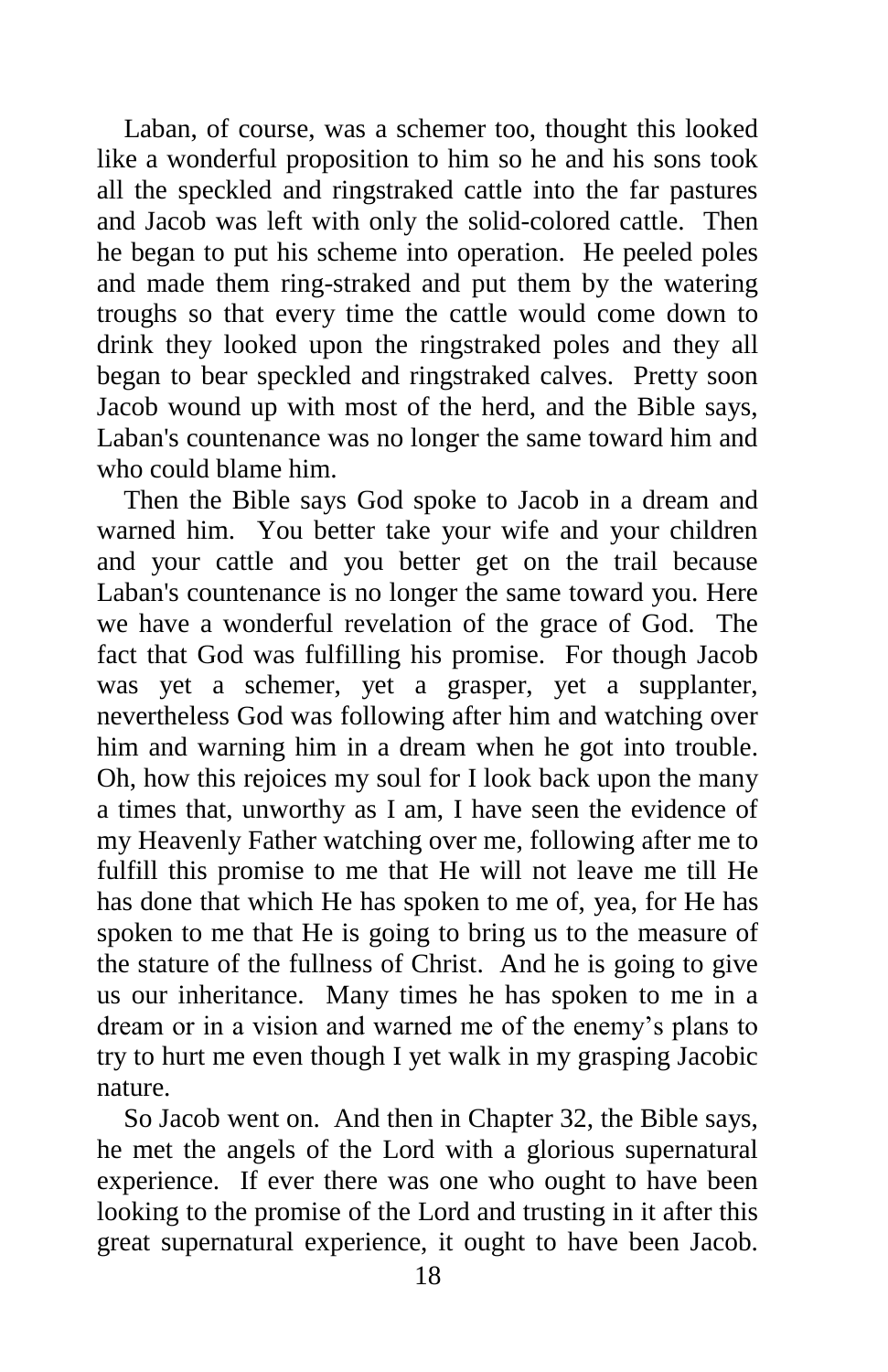Laban, of course, was a schemer too, thought this looked like a wonderful proposition to him so he and his sons took all the speckled and ringstraked cattle into the far pastures and Jacob was left with only the solid-colored cattle. Then he began to put his scheme into operation. He peeled poles and made them ring-straked and put them by the watering troughs so that every time the cattle would come down to drink they looked upon the ringstraked poles and they all began to bear speckled and ringstraked calves. Pretty soon Jacob wound up with most of the herd, and the Bible says, Laban's countenance was no longer the same toward him and who could blame him.

 Then the Bible says God spoke to Jacob in a dream and warned him. You better take your wife and your children and your cattle and you better get on the trail because Laban's countenance is no longer the same toward you. Here we have a wonderful revelation of the grace of God. The fact that God was fulfilling his promise. For though Jacob was yet a schemer, yet a grasper, yet a supplanter, nevertheless God was following after him and watching over him and warning him in a dream when he got into trouble. Oh, how this rejoices my soul for I look back upon the many a times that, unworthy as I am, I have seen the evidence of my Heavenly Father watching over me, following after me to fulfill this promise to me that He will not leave me till He has done that which He has spoken to me of, yea, for He has spoken to me that He is going to bring us to the measure of the stature of the fullness of Christ. And he is going to give us our inheritance. Many times he has spoken to me in a dream or in a vision and warned me of the enemy's plans to try to hurt me even though I yet walk in my grasping Jacobic nature.

 So Jacob went on. And then in Chapter 32, the Bible says, he met the angels of the Lord with a glorious supernatural experience. If ever there was one who ought to have been looking to the promise of the Lord and trusting in it after this great supernatural experience, it ought to have been Jacob.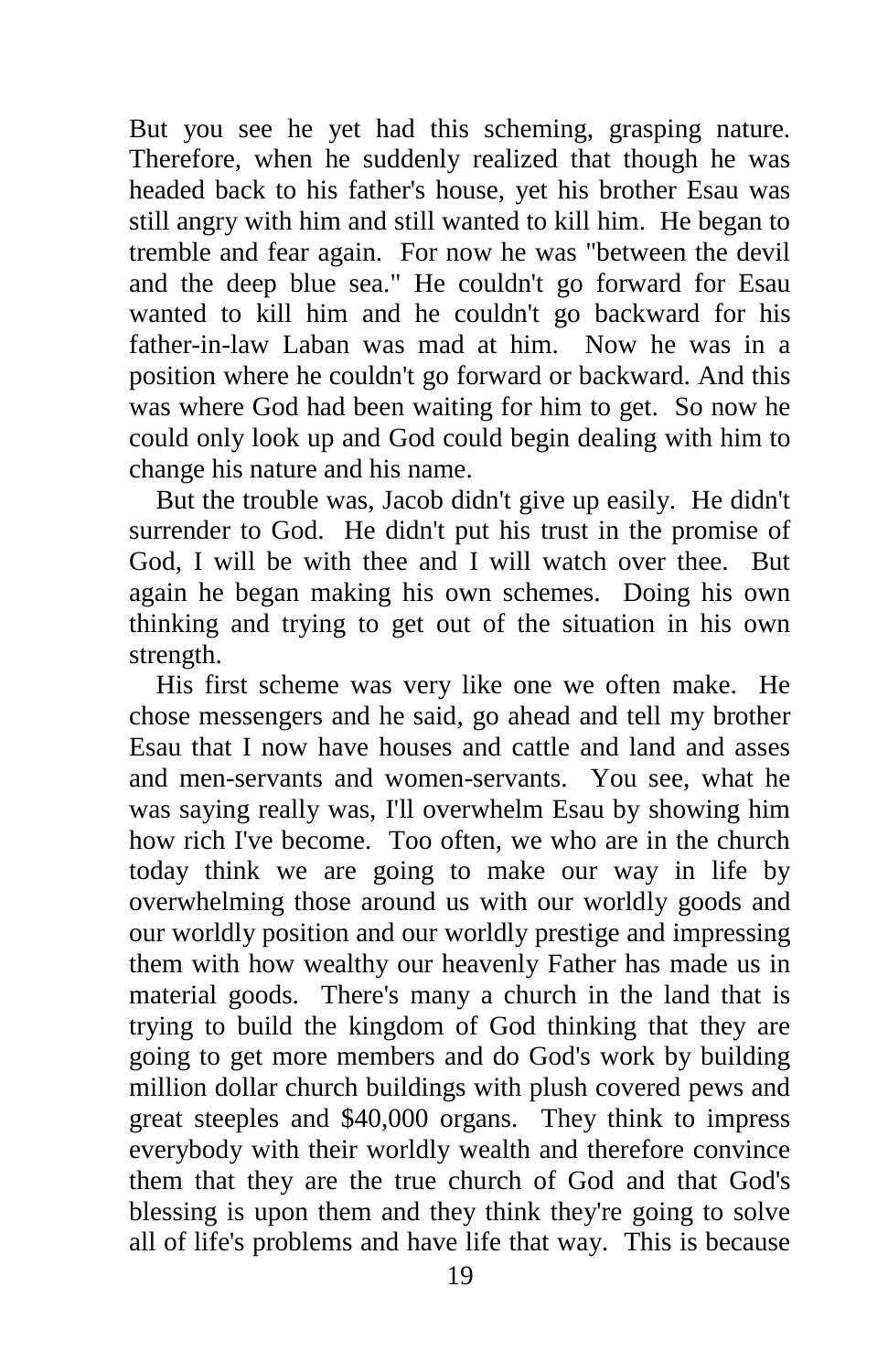But you see he yet had this scheming, grasping nature. Therefore, when he suddenly realized that though he was headed back to his father's house, yet his brother Esau was still angry with him and still wanted to kill him. He began to tremble and fear again. For now he was "between the devil and the deep blue sea." He couldn't go forward for Esau wanted to kill him and he couldn't go backward for his father-in-law Laban was mad at him. Now he was in a position where he couldn't go forward or backward. And this was where God had been waiting for him to get. So now he could only look up and God could begin dealing with him to change his nature and his name.

 But the trouble was, Jacob didn't give up easily. He didn't surrender to God. He didn't put his trust in the promise of God, I will be with thee and I will watch over thee. But again he began making his own schemes. Doing his own thinking and trying to get out of the situation in his own strength.

 His first scheme was very like one we often make. He chose messengers and he said, go ahead and tell my brother Esau that I now have houses and cattle and land and asses and men-servants and women-servants. You see, what he was saying really was, I'll overwhelm Esau by showing him how rich I've become. Too often, we who are in the church today think we are going to make our way in life by overwhelming those around us with our worldly goods and our worldly position and our worldly prestige and impressing them with how wealthy our heavenly Father has made us in material goods. There's many a church in the land that is trying to build the kingdom of God thinking that they are going to get more members and do God's work by building million dollar church buildings with plush covered pews and great steeples and \$40,000 organs. They think to impress everybody with their worldly wealth and therefore convince them that they are the true church of God and that God's blessing is upon them and they think they're going to solve all of life's problems and have life that way. This is because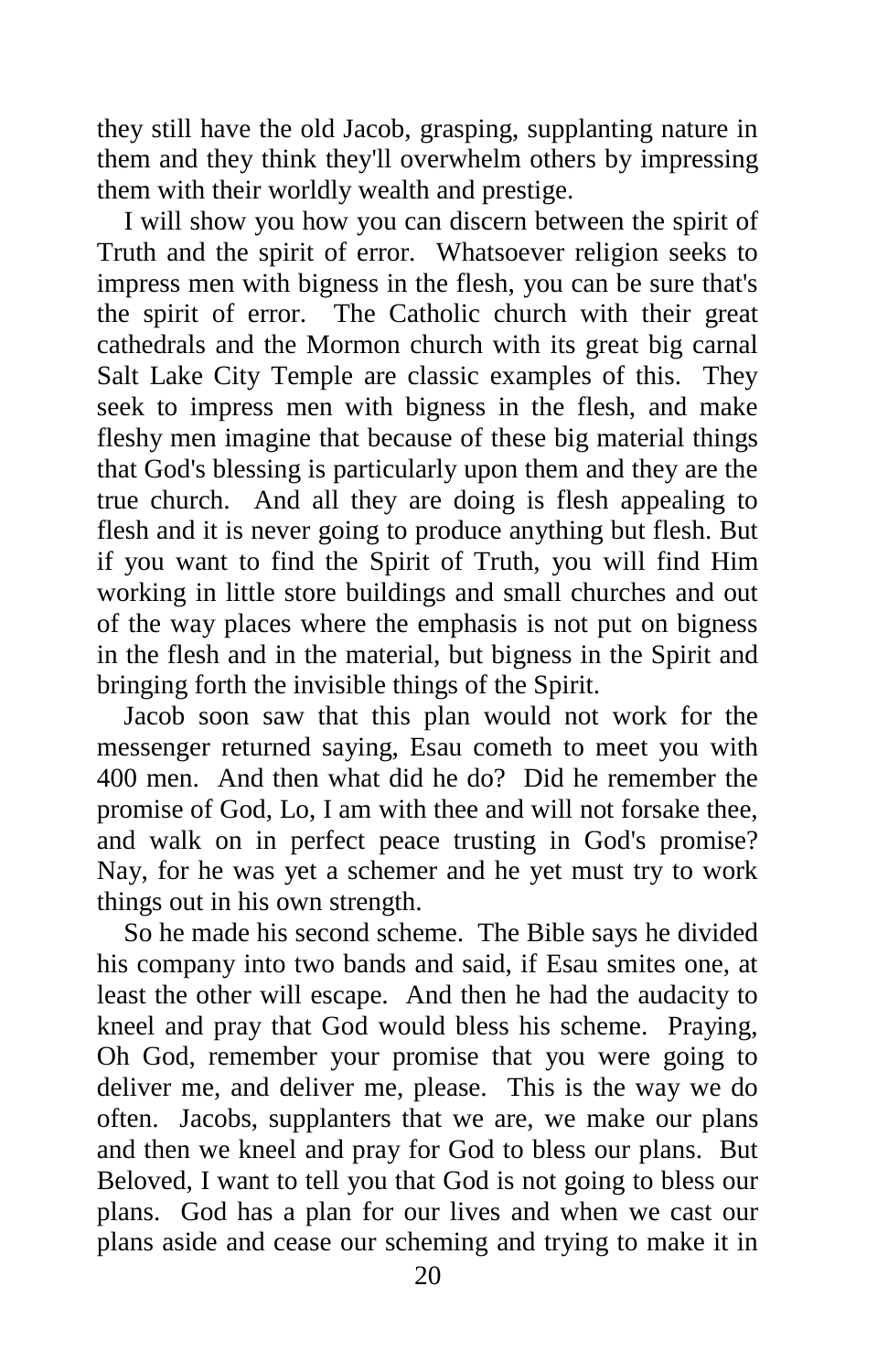they still have the old Jacob, grasping, supplanting nature in them and they think they'll overwhelm others by impressing them with their worldly wealth and prestige.

 I will show you how you can discern between the spirit of Truth and the spirit of error. Whatsoever religion seeks to impress men with bigness in the flesh, you can be sure that's the spirit of error. The Catholic church with their great cathedrals and the Mormon church with its great big carnal Salt Lake City Temple are classic examples of this. They seek to impress men with bigness in the flesh, and make fleshy men imagine that because of these big material things that God's blessing is particularly upon them and they are the true church. And all they are doing is flesh appealing to flesh and it is never going to produce anything but flesh. But if you want to find the Spirit of Truth, you will find Him working in little store buildings and small churches and out of the way places where the emphasis is not put on bigness in the flesh and in the material, but bigness in the Spirit and bringing forth the invisible things of the Spirit.

 Jacob soon saw that this plan would not work for the messenger returned saying, Esau cometh to meet you with 400 men. And then what did he do? Did he remember the promise of God, Lo, I am with thee and will not forsake thee, and walk on in perfect peace trusting in God's promise? Nay, for he was yet a schemer and he yet must try to work things out in his own strength.

 So he made his second scheme. The Bible says he divided his company into two bands and said, if Esau smites one, at least the other will escape. And then he had the audacity to kneel and pray that God would bless his scheme. Praying, Oh God, remember your promise that you were going to deliver me, and deliver me, please. This is the way we do often. Jacobs, supplanters that we are, we make our plans and then we kneel and pray for God to bless our plans. But Beloved, I want to tell you that God is not going to bless our plans. God has a plan for our lives and when we cast our plans aside and cease our scheming and trying to make it in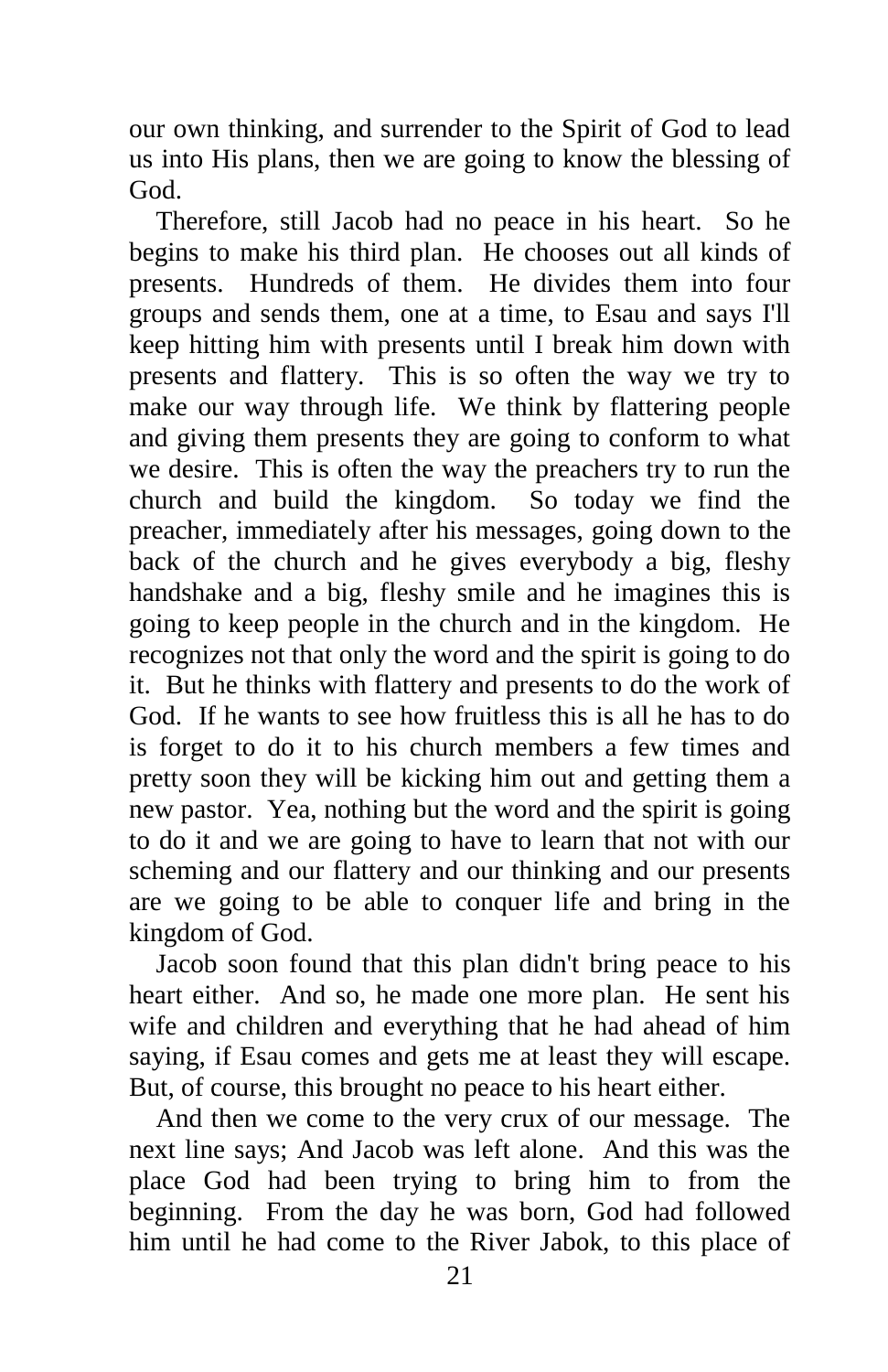our own thinking, and surrender to the Spirit of God to lead us into His plans, then we are going to know the blessing of God.

 Therefore, still Jacob had no peace in his heart. So he begins to make his third plan. He chooses out all kinds of presents. Hundreds of them. He divides them into four groups and sends them, one at a time, to Esau and says I'll keep hitting him with presents until I break him down with presents and flattery. This is so often the way we try to make our way through life. We think by flattering people and giving them presents they are going to conform to what we desire. This is often the way the preachers try to run the church and build the kingdom. So today we find the preacher, immediately after his messages, going down to the back of the church and he gives everybody a big, fleshy handshake and a big, fleshy smile and he imagines this is going to keep people in the church and in the kingdom. He recognizes not that only the word and the spirit is going to do it. But he thinks with flattery and presents to do the work of God. If he wants to see how fruitless this is all he has to do is forget to do it to his church members a few times and pretty soon they will be kicking him out and getting them a new pastor. Yea, nothing but the word and the spirit is going to do it and we are going to have to learn that not with our scheming and our flattery and our thinking and our presents are we going to be able to conquer life and bring in the kingdom of God.

 Jacob soon found that this plan didn't bring peace to his heart either. And so, he made one more plan. He sent his wife and children and everything that he had ahead of him saying, if Esau comes and gets me at least they will escape. But, of course, this brought no peace to his heart either.

 And then we come to the very crux of our message. The next line says; And Jacob was left alone. And this was the place God had been trying to bring him to from the beginning. From the day he was born, God had followed him until he had come to the River Jabok, to this place of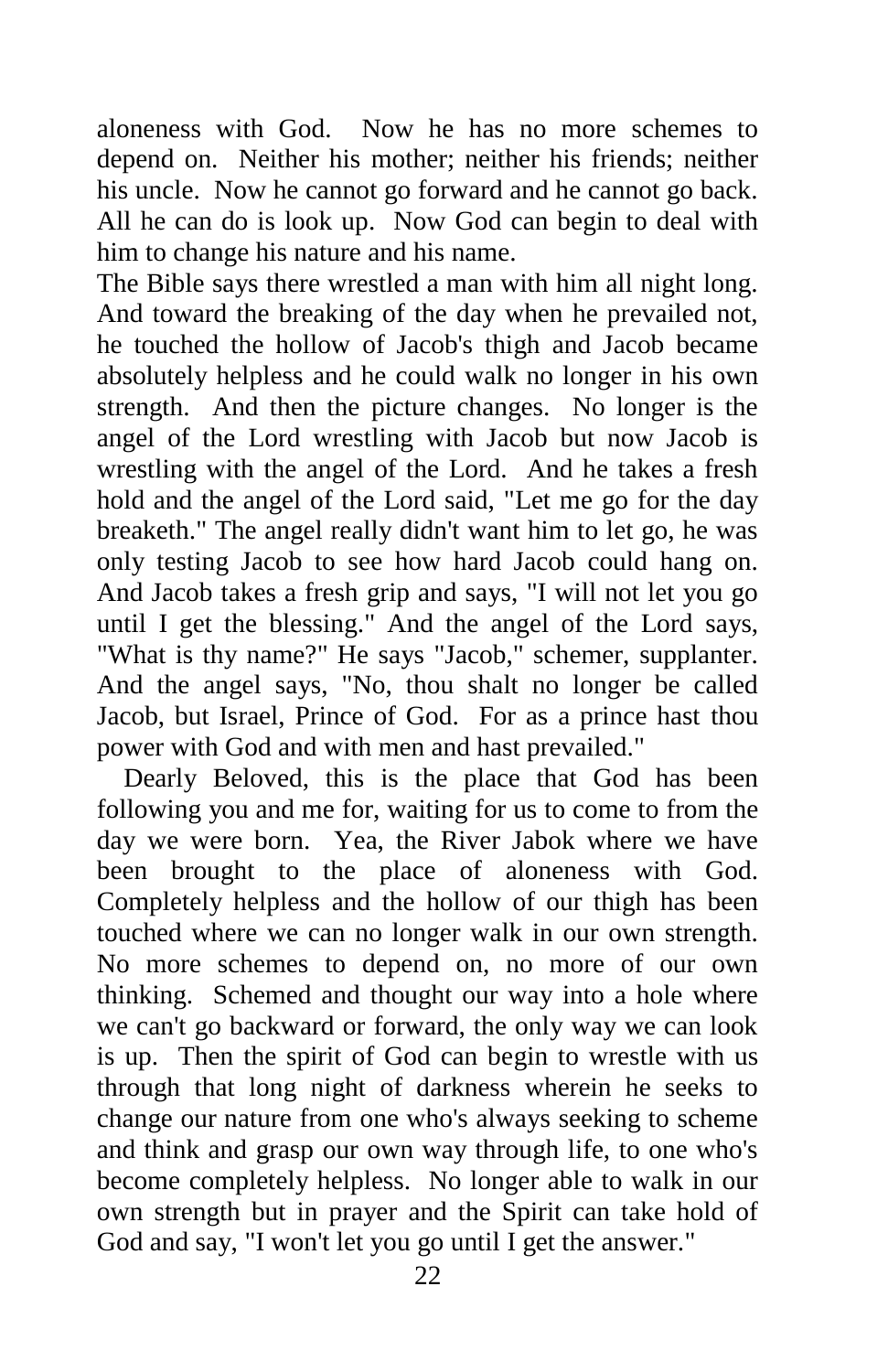aloneness with God. Now he has no more schemes to depend on. Neither his mother; neither his friends; neither his uncle. Now he cannot go forward and he cannot go back. All he can do is look up. Now God can begin to deal with him to change his nature and his name.

The Bible says there wrestled a man with him all night long. And toward the breaking of the day when he prevailed not, he touched the hollow of Jacob's thigh and Jacob became absolutely helpless and he could walk no longer in his own strength. And then the picture changes. No longer is the angel of the Lord wrestling with Jacob but now Jacob is wrestling with the angel of the Lord. And he takes a fresh hold and the angel of the Lord said, "Let me go for the day breaketh." The angel really didn't want him to let go, he was only testing Jacob to see how hard Jacob could hang on. And Jacob takes a fresh grip and says, "I will not let you go until I get the blessing." And the angel of the Lord says, "What is thy name?" He says "Jacob," schemer, supplanter. And the angel says, "No, thou shalt no longer be called Jacob, but Israel, Prince of God. For as a prince hast thou power with God and with men and hast prevailed."

 Dearly Beloved, this is the place that God has been following you and me for, waiting for us to come to from the day we were born. Yea, the River Jabok where we have been brought to the place of aloneness with God. Completely helpless and the hollow of our thigh has been touched where we can no longer walk in our own strength. No more schemes to depend on, no more of our own thinking. Schemed and thought our way into a hole where we can't go backward or forward, the only way we can look is up. Then the spirit of God can begin to wrestle with us through that long night of darkness wherein he seeks to change our nature from one who's always seeking to scheme and think and grasp our own way through life, to one who's become completely helpless. No longer able to walk in our own strength but in prayer and the Spirit can take hold of God and say, "I won't let you go until I get the answer."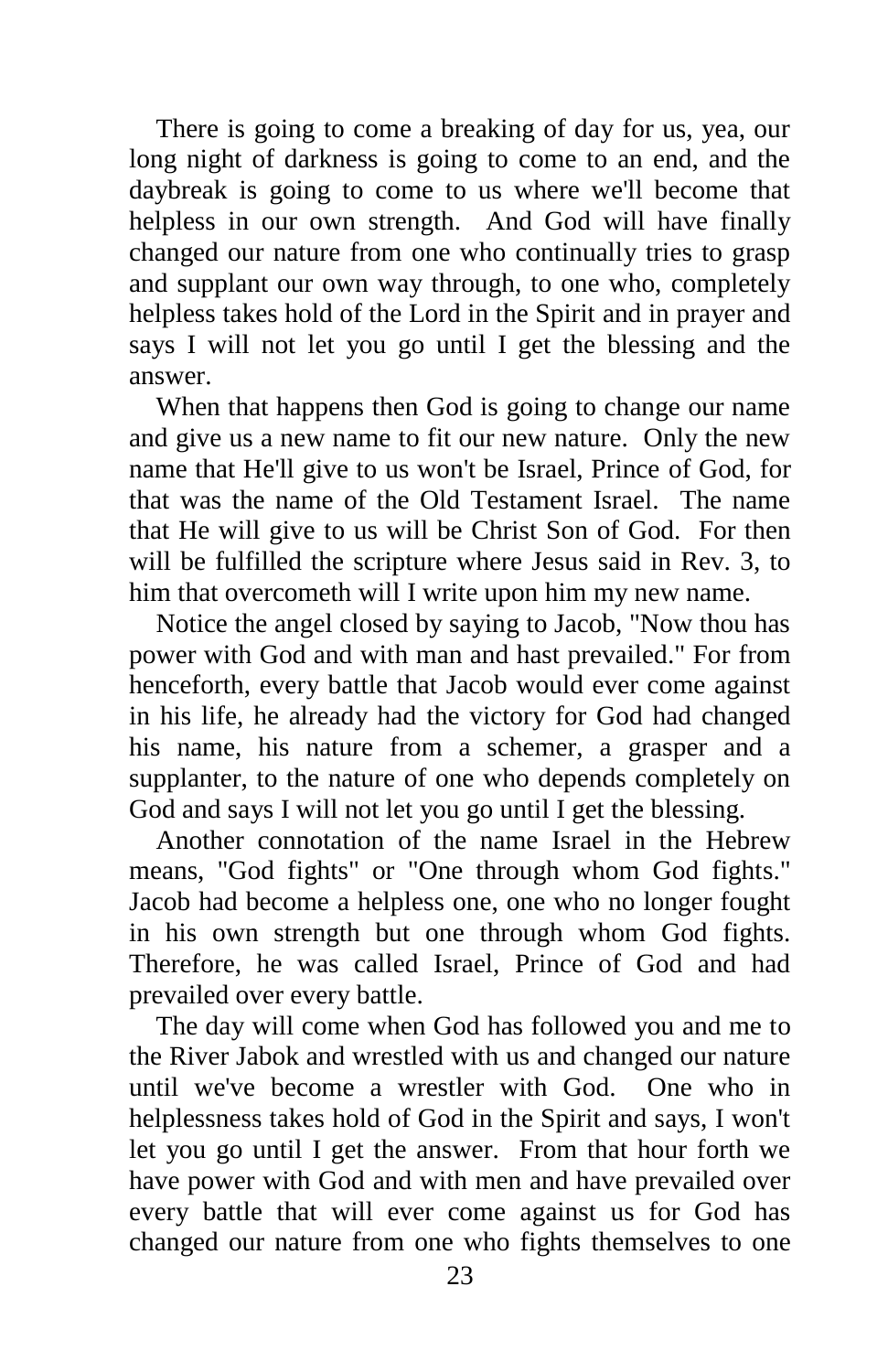There is going to come a breaking of day for us, yea, our long night of darkness is going to come to an end, and the daybreak is going to come to us where we'll become that helpless in our own strength. And God will have finally changed our nature from one who continually tries to grasp and supplant our own way through, to one who, completely helpless takes hold of the Lord in the Spirit and in prayer and says I will not let you go until I get the blessing and the answer.

 When that happens then God is going to change our name and give us a new name to fit our new nature. Only the new name that He'll give to us won't be Israel, Prince of God, for that was the name of the Old Testament Israel. The name that He will give to us will be Christ Son of God. For then will be fulfilled the scripture where Jesus said in Rev. 3, to him that overcometh will I write upon him my new name.

 Notice the angel closed by saying to Jacob, "Now thou has power with God and with man and hast prevailed." For from henceforth, every battle that Jacob would ever come against in his life, he already had the victory for God had changed his name, his nature from a schemer, a grasper and a supplanter, to the nature of one who depends completely on God and says I will not let you go until I get the blessing.

 Another connotation of the name Israel in the Hebrew means, "God fights" or "One through whom God fights." Jacob had become a helpless one, one who no longer fought in his own strength but one through whom God fights. Therefore, he was called Israel, Prince of God and had prevailed over every battle.

 The day will come when God has followed you and me to the River Jabok and wrestled with us and changed our nature until we've become a wrestler with God. One who in helplessness takes hold of God in the Spirit and says, I won't let you go until I get the answer. From that hour forth we have power with God and with men and have prevailed over every battle that will ever come against us for God has changed our nature from one who fights themselves to one